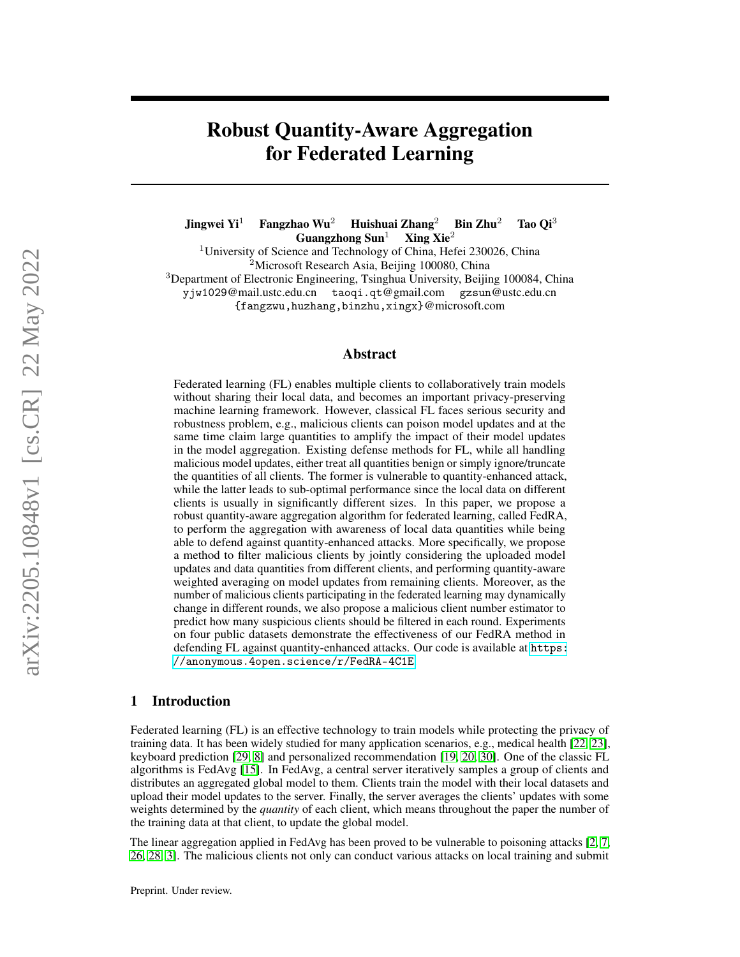# Robust Quantity-Aware Aggregation for Federated Learning

Jingwei Yi<sup>1</sup> Fangzhao Wu<sup>2</sup> Huishuai Zhang<sup>2</sup> Bin Zhu<sup>2</sup> Tao Qi<sup>3</sup> Guangzhong  $\text{Sun}^1$  Xing Xie<sup>2</sup> <sup>1</sup>University of Science and Technology of China, Hefei 230026, China <sup>2</sup>Microsoft Research Asia, Beijing 100080, China <sup>3</sup>Department of Electronic Engineering, Tsinghua University, Beijing 100084, China yjw1029@mail.ustc.edu.cn taoqi.qt@gmail.com gzsun@ustc.edu.cn {fangzwu,huzhang,binzhu,xingx}@microsoft.com

## Abstract

Federated learning (FL) enables multiple clients to collaboratively train models without sharing their local data, and becomes an important privacy-preserving machine learning framework. However, classical FL faces serious security and robustness problem, e.g., malicious clients can poison model updates and at the same time claim large quantities to amplify the impact of their model updates in the model aggregation. Existing defense methods for FL, while all handling malicious model updates, either treat all quantities benign or simply ignore/truncate the quantities of all clients. The former is vulnerable to quantity-enhanced attack, while the latter leads to sub-optimal performance since the local data on different clients is usually in significantly different sizes. In this paper, we propose a robust quantity-aware aggregation algorithm for federated learning, called FedRA, to perform the aggregation with awareness of local data quantities while being able to defend against quantity-enhanced attacks. More specifically, we propose a method to filter malicious clients by jointly considering the uploaded model updates and data quantities from different clients, and performing quantity-aware weighted averaging on model updates from remaining clients. Moreover, as the number of malicious clients participating in the federated learning may dynamically change in different rounds, we also propose a malicious client number estimator to predict how many suspicious clients should be filtered in each round. Experiments on four public datasets demonstrate the effectiveness of our FedRA method in defending FL against quantity-enhanced attacks. Our code is available at [https:](https://anonymous.4open.science/r/FedRA-4C1E) [//anonymous.4open.science/r/FedRA-4C1E](https://anonymous.4open.science/r/FedRA-4C1E).

## 1 Introduction

Federated learning (FL) is an effective technology to train models while protecting the privacy of training data. It has been widely studied for many application scenarios, e.g., medical health [\[22,](#page-10-0) [23\]](#page-10-1), keyboard prediction [\[29,](#page-10-2) [8\]](#page-9-0) and personalized recommendation [\[19,](#page-9-1) [20,](#page-9-2) [30\]](#page-10-3). One of the classic FL algorithms is FedAvg [\[15\]](#page-9-3). In FedAvg, a central server iteratively samples a group of clients and distributes an aggregated global model to them. Clients train the model with their local datasets and upload their model updates to the server. Finally, the server averages the clients' updates with some weights determined by the *quantity* of each client, which means throughout the paper the number of the training data at that client, to update the global model.

The linear aggregation applied in FedAvg has been proved to be vulnerable to poisoning attacks [\[2,](#page-9-4) [7,](#page-9-5) [26,](#page-10-4) [28,](#page-10-5) [3\]](#page-9-6). The malicious clients not only can conduct various attacks on local training and submit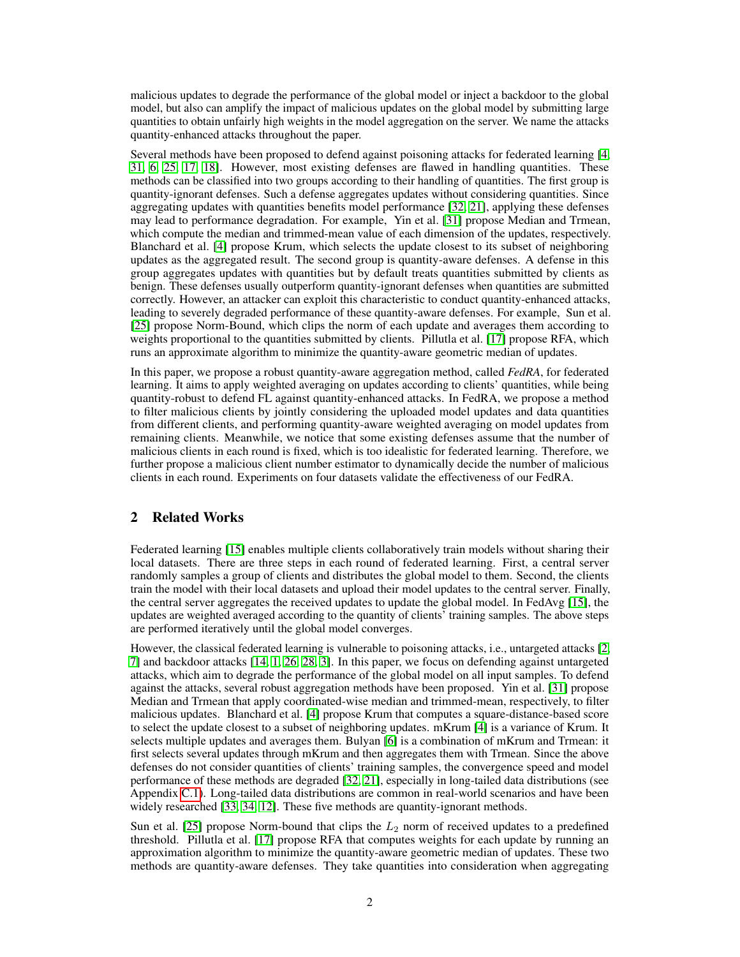malicious updates to degrade the performance of the global model or inject a backdoor to the global model, but also can amplify the impact of malicious updates on the global model by submitting large quantities to obtain unfairly high weights in the model aggregation on the server. We name the attacks quantity-enhanced attacks throughout the paper.

Several methods have been proposed to defend against poisoning attacks for federated learning [\[4,](#page-9-7) [31,](#page-10-6) [6,](#page-9-8) [25,](#page-10-7) [17,](#page-9-9) [18\]](#page-9-10). However, most existing defenses are flawed in handling quantities. These methods can be classified into two groups according to their handling of quantities. The first group is quantity-ignorant defenses. Such a defense aggregates updates without considering quantities. Since aggregating updates with quantities benefits model performance [\[32,](#page-10-8) [21\]](#page-10-9), applying these defenses may lead to performance degradation. For example, Yin et al. [\[31\]](#page-10-6) propose Median and Trmean, which compute the median and trimmed-mean value of each dimension of the updates, respectively. Blanchard et al. [\[4\]](#page-9-7) propose Krum, which selects the update closest to its subset of neighboring updates as the aggregated result. The second group is quantity-aware defenses. A defense in this group aggregates updates with quantities but by default treats quantities submitted by clients as benign. These defenses usually outperform quantity-ignorant defenses when quantities are submitted correctly. However, an attacker can exploit this characteristic to conduct quantity-enhanced attacks, leading to severely degraded performance of these quantity-aware defenses. For example, Sun et al. [\[25\]](#page-10-7) propose Norm-Bound, which clips the norm of each update and averages them according to weights proportional to the quantities submitted by clients. Pillutla et al. [\[17\]](#page-9-9) propose RFA, which runs an approximate algorithm to minimize the quantity-aware geometric median of updates.

In this paper, we propose a robust quantity-aware aggregation method, called *FedRA*, for federated learning. It aims to apply weighted averaging on updates according to clients' quantities, while being quantity-robust to defend FL against quantity-enhanced attacks. In FedRA, we propose a method to filter malicious clients by jointly considering the uploaded model updates and data quantities from different clients, and performing quantity-aware weighted averaging on model updates from remaining clients. Meanwhile, we notice that some existing defenses assume that the number of malicious clients in each round is fixed, which is too idealistic for federated learning. Therefore, we further propose a malicious client number estimator to dynamically decide the number of malicious clients in each round. Experiments on four datasets validate the effectiveness of our FedRA.

## 2 Related Works

Federated learning [\[15\]](#page-9-3) enables multiple clients collaboratively train models without sharing their local datasets. There are three steps in each round of federated learning. First, a central server randomly samples a group of clients and distributes the global model to them. Second, the clients train the model with their local datasets and upload their model updates to the central server. Finally, the central server aggregates the received updates to update the global model. In FedAvg [\[15\]](#page-9-3), the updates are weighted averaged according to the quantity of clients' training samples. The above steps are performed iteratively until the global model converges.

However, the classical federated learning is vulnerable to poisoning attacks, i.e., untargeted attacks [\[2,](#page-9-4) [7\]](#page-9-5) and backdoor attacks [\[14,](#page-9-11) [1,](#page-9-12) [26,](#page-10-4) [28,](#page-10-5) [3\]](#page-9-6). In this paper, we focus on defending against untargeted attacks, which aim to degrade the performance of the global model on all input samples. To defend against the attacks, several robust aggregation methods have been proposed. Yin et al. [\[31\]](#page-10-6) propose Median and Trmean that apply coordinated-wise median and trimmed-mean, respectively, to filter malicious updates. Blanchard et al. [\[4\]](#page-9-7) propose Krum that computes a square-distance-based score to select the update closest to a subset of neighboring updates. mKrum [\[4\]](#page-9-7) is a variance of Krum. It selects multiple updates and averages them. Bulyan [\[6\]](#page-9-8) is a combination of mKrum and Trmean: it first selects several updates through mKrum and then aggregates them with Trmean. Since the above defenses do not consider quantities of clients' training samples, the convergence speed and model performance of these methods are degraded [\[32,](#page-10-8) [21\]](#page-10-9), especially in long-tailed data distributions (see Appendix [C.1\)](#page-15-0). Long-tailed data distributions are common in real-world scenarios and have been widely researched [\[33,](#page-10-10) [34,](#page-10-11) [12\]](#page-9-13). These five methods are quantity-ignorant methods.

Sun et al. [\[25\]](#page-10-7) propose Norm-bound that clips the  $L_2$  norm of received updates to a predefined threshold. Pillutla et al. [\[17\]](#page-9-9) propose RFA that computes weights for each update by running an approximation algorithm to minimize the quantity-aware geometric median of updates. These two methods are quantity-aware defenses. They take quantities into consideration when aggregating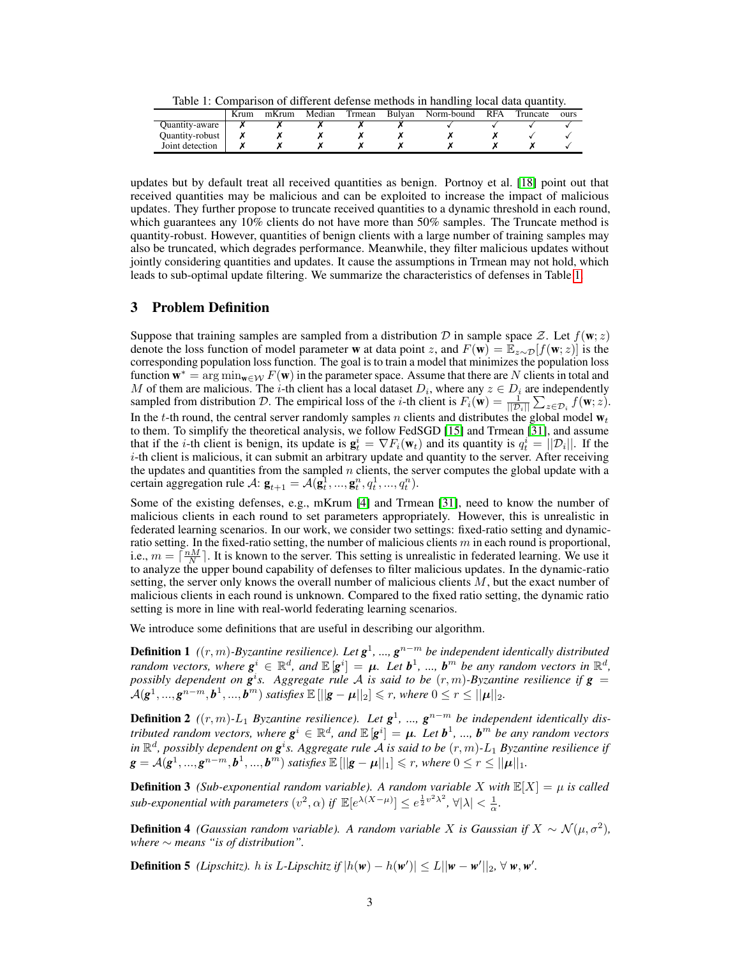Table 1: Comparison of different defense methods in handling local data quantity.

<span id="page-2-0"></span>

|                 | Krum | mKrum | Median | Frmean | Bulvan | Norm-bound | <b>RFA</b> | Truncate | ours |
|-----------------|------|-------|--------|--------|--------|------------|------------|----------|------|
| Ouantity-aware  |      |       |        |        |        |            |            |          |      |
| Quantity-robust |      |       |        |        |        |            |            |          |      |
| Joint detection |      |       |        |        |        |            |            |          |      |

updates but by default treat all received quantities as benign. Portnoy et al. [\[18\]](#page-9-10) point out that received quantities may be malicious and can be exploited to increase the impact of malicious updates. They further propose to truncate received quantities to a dynamic threshold in each round, which guarantees any 10% clients do not have more than 50% samples. The Truncate method is quantity-robust. However, quantities of benign clients with a large number of training samples may also be truncated, which degrades performance. Meanwhile, they filter malicious updates without jointly considering quantities and updates. It cause the assumptions in Trmean may not hold, which leads to sub-optimal update filtering. We summarize the characteristics of defenses in Table [1.](#page-2-0)

## <span id="page-2-1"></span>3 Problem Definition

Suppose that training samples are sampled from a distribution D in sample space Z. Let  $f(\mathbf{w}; z)$ denote the loss function of model parameter w at data point z, and  $F(\mathbf{w}) = \mathbb{E}_{z \sim \mathcal{D}}[f(\mathbf{w}; z)]$  is the corresponding population loss function. The goal is to train a model that minimizes the population loss function  $\mathbf{w}^* = \arg \min_{\mathbf{w} \in \mathcal{W}} F(\mathbf{w})$  in the parameter space. Assume that there are N clients in total and M of them are malicious. The *i*-th client has a local dataset  $D_i$ , where any  $z \in D_i$  are independently sampled from distribution D. The empirical loss of the *i*-th client is  $F_i(\mathbf{w}) = \frac{1}{||\mathcal{D}_i||} \sum_{z \in \mathcal{D}_i} f(\mathbf{w}; z)$ . In the t-th round, the central server randomly samples n clients and distributes the global model  $w_t$ to them. To simplify the theoretical analysis, we follow FedSGD [\[15\]](#page-9-3) and Trmean [\[31\]](#page-10-6), and assume that if the *i*-th client is benign, its update is  $\mathbf{g}_t^i = \nabla F_i(\mathbf{w}_t)$  and its quantity is  $q_t^i = ||\mathcal{D}_i||$ . If the  $i$ -th client is malicious, it can submit an arbitrary update and quantity to the server. After receiving the updates and quantities from the sampled  $n$  clients, the server computes the global update with a certain aggregation rule A:  $\mathbf{g}_{t+1} = \mathcal{A}(\mathbf{g}_t^1, ..., \mathbf{g}_t^n, q_t^1, ..., q_t^n)$ .

Some of the existing defenses, e.g., mKrum [\[4\]](#page-9-7) and Trmean [\[31\]](#page-10-6), need to know the number of malicious clients in each round to set parameters appropriately. However, this is unrealistic in federated learning scenarios. In our work, we consider two settings: fixed-ratio setting and dynamicratio setting. In the fixed-ratio setting, the number of malicious clients  $m$  in each round is proportional, i.e.,  $m = \lceil \frac{nM}{N} \rceil$ . It is known to the server. This setting is unrealistic in federated learning. We use it to analyze the upper bound capability of defenses to filter malicious updates. In the dynamic-ratio setting, the server only knows the overall number of malicious clients  $M$ , but the exact number of malicious clients in each round is unknown. Compared to the fixed ratio setting, the dynamic ratio setting is more in line with real-world federating learning scenarios.

We introduce some definitions that are useful in describing our algorithm.

**Definition 1** ((r, m)-Byzantine resilience). Let  $g$ <sup>1</sup>, ...,  $g$ <sup>n−m</sup> be independent identically distributed *random vectors, where*  $g^i \in \mathbb{R}^d$ *, and*  $\mathbb{E}[g^i] = \mu$ *. Let*  $b^1$ *, ...,*  $b^m$  *be any random vectors in*  $\mathbb{R}^d$ *,* possibly dependent on  $g^{i}s$ . Aggregate rule A is said to be  $(r, m)$ -Byzantine resilience if  $g =$  $\mathcal{A}(\bm{g}^1,...,\bm{g}^{n-m},\bm{b}^1,...,\bm{b}^m)$  satisfies  $\mathbb{E}\left[\lVert \bm{g}-\bm{\mu}\rVert_2 \right] \leqslant r,$  where  $0 \leq r \leq \lVert \bm{\mu}\rVert_2.$ 

**Definition 2**  $((r, m)$ -L<sub>1</sub> *Byzantine resilience*). Let  $g<sup>1</sup>$ , ...,  $g<sup>n-m</sup>$  *be independent identically distributed random vectors, where*  $g^i \in \mathbb{R}^d$ *, and*  $\mathbb{E}[g^i] = \mu$ *. Let*  $b^1$ *, ...,*  $b^m$  *be any random vectors* in  $\mathbb{R}^d$ , possibly dependent on  $\boldsymbol{g}^i$ s. Aggregate rule  $\mathcal A$  is said to be  $(r, m)$ - $L_1$  Byzantine resilience if  $g = A(g<sup>1</sup>,..., g<sup>n-m</sup>, b<sup>1</sup>,..., b<sup>m</sup>)$  *satisfies*  $\mathbb{E} [||g - \mu||_1] \leq r$ , where  $0 \leq r \leq ||\mu||_1$ .

**Definition 3** *(Sub-exponential random variable). A random variable* X *with*  $\mathbb{E}[X] = \mu$  *is called sub-exponential with parameters*  $(v^2, \alpha)$  *if*  $\mathbb{E}[e^{\lambda(X-\mu)}] \leq e^{\frac{1}{2}v^2\lambda^2}$ ,  $\forall |\lambda| < \frac{1}{\alpha}$ .

**Definition 4** *(Gaussian random variable). A random variable X is Gaussian if*  $X \sim \mathcal{N}(\mu, \sigma^2)$ , *where* ∼ *means "is of distribution".*

**Definition 5** *(Lipschitz). h is L*-*Lipschitz if*  $|h(\mathbf{w}) - h(\mathbf{w}')| \le L||\mathbf{w} - \mathbf{w}'||_2$ ,  $\forall$  **w**, **w'**.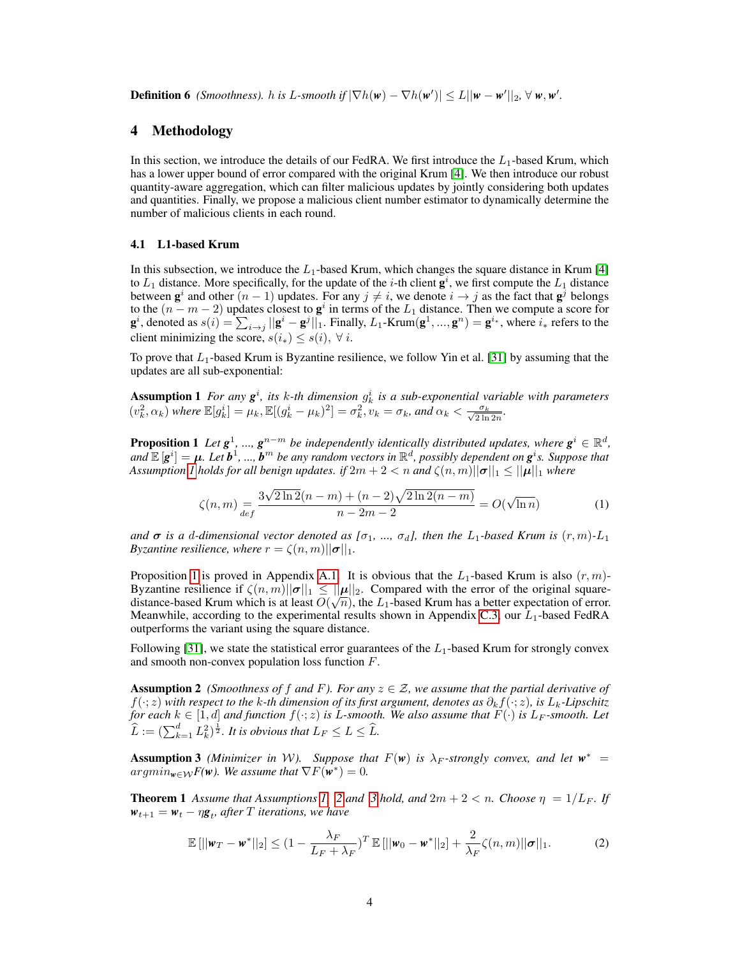**Definition 6** *(Smoothness).* h is L-smooth if  $|\nabla h(\mathbf{w}) - \nabla h(\mathbf{w}')| \leq L ||\mathbf{w} - \mathbf{w}'||_2$ ,  $\forall \mathbf{w}, \mathbf{w}'$ .

## 4 Methodology

In this section, we introduce the details of our FedRA. We first introduce the  $L_1$ -based Krum, which has a lower upper bound of error compared with the original Krum [\[4\]](#page-9-7). We then introduce our robust quantity-aware aggregation, which can filter malicious updates by jointly considering both updates and quantities. Finally, we propose a malicious client number estimator to dynamically determine the number of malicious clients in each round.

#### <span id="page-3-5"></span>4.1 L1-based Krum

In this subsection, we introduce the  $L_1$ -based Krum, which changes the square distance in Krum [\[4\]](#page-9-7) to  $L_1$  distance. More specifically, for the update of the *i*-th client  $\mathbf{g}^i$ , we first compute the  $L_1$  distance between  $g^i$  and other  $(n-1)$  updates. For any  $j \neq i$ , we denote  $i \rightarrow j$  as the fact that  $g^j$  belongs to the  $(n - m - 2)$  updates closest to  $g^i$  in terms of the  $L_1$  distance. Then we compute a score for  $\mathbf{g}^i$ , denoted as  $s(i) = \sum_{i \to j} ||\mathbf{g}^i - \mathbf{g}^j||_1$ . Finally,  $L_1$ -Krum $(\mathbf{g}^1, ..., \mathbf{g}^n) = \mathbf{g}^{i*}$ , where  $i_*$  refers to the client minimizing the score,  $s(i_*) \leq s(i)$ ,  $\forall i$ .

To prove that  $L_1$ -based Krum is Byzantine resilience, we follow Yin et al. [\[31\]](#page-10-6) by assuming that the updates are all sub-exponential:

**Assumption 1** For any  $g^i$ , its k-th dimension  $g^i_k$  is a sub-exponential variable with parameters  $(v_k^2, \alpha_k)$  where  $\mathbb{E}[g_k^i] = \mu_k, \mathbb{E}[(g_k^i - \mu_k)^2] = \sigma_k^2$ ,  $v_k = \sigma_k$ , and  $\alpha_k < \frac{\sigma_k}{\sqrt{2\ln 2n}}$ .

**Proposition 1** Let  $g^1$ , ...,  $g^{n-m}$  be independently identically distributed updates, where  $g^i \in \mathbb{R}^d$ ,  $ad \mathbb{E}[g^i] = \mu$ . Let  $b^1, ..., b^m$  be any random vectors in  $\mathbb{R}^d$ , possibly dependent on  $g^i$ s. Suppose that *Assumption 1 holds for all benign updates. if*  $2m + 2 < n$  *and*  $\zeta(n,m) ||\sigma||_1 \leq ||\mu||_1$  *where* 

<span id="page-3-1"></span><span id="page-3-0"></span>
$$
\zeta(n,m) = \frac{3\sqrt{2\ln 2}(n-m) + (n-2)\sqrt{2\ln 2(n-m)}}{n-2m-2} = O(\sqrt{\ln n})
$$
\n(1)

*and*  $\sigma$  *is a* d-dimensional vector denoted as [ $\sigma_1$ , ...,  $\sigma_d$ ], then the L<sub>1</sub>-based Krum is  $(r, m)$ -L<sub>1</sub> *Byzantine resilience, where*  $r = \zeta(n,m) ||\boldsymbol{\sigma}||_1$ .

Proposition [1](#page-3-1) is proved in Appendix [A.1.](#page-11-0) It is obvious that the  $L_1$ -based Krum is also  $(r, m)$ -Byzantine resilience if  $\zeta(n,m)||\sigma||_1 \leq ||\mu||_2$ . Compared with the error of the original squaredistance-based Krum which is at least  $O(\sqrt{n})$ , the  $L_1$ -based Krum has a better expectation of error. Meanwhile, according to the experimental results shown in Appendix [C.3,](#page-17-0) our  $L_1$ -based FedRA outperforms the variant using the square distance.

Following [\[31\]](#page-10-6), we state the statistical error guarantees of the  $L_1$ -based Krum for strongly convex and smooth non-convex population loss function F.

<span id="page-3-2"></span>**Assumption 2** *(Smoothness of f and F). For any*  $z \in \mathcal{Z}$ *, we assume that the partial derivative of* f(·; z) *with respect to the* k*-th dimension of its first argument, denotes as* ∂kf(·; z)*, is* Lk*-Lipschitz for each*  $k \in [1, d]$  *and function*  $f(\cdot; z)$  *is L-smooth. We also assume that*  $F(\cdot)$  *is L<sub>F</sub>-smooth. Let*  $\widehat{L} := (\sum_{k=1}^d L_k^2)^{\frac{1}{2}}$ . It is obvious that  $L_F \le L \le \widehat{L}$ .

<span id="page-3-3"></span>**Assumption 3** *(Minimizer in W).* Suppose that  $F(w)$  is  $\lambda_F$ -strongly convex, and let  $w^* =$  $argmin_{\mathbf{w}\in\mathcal{W}}F(\mathbf{w})$ . We assume that  $\nabla F(\hat{\mathbf{w}}^*)=0$ .

**Theorem 1** Assume that Assumptions [1,](#page-3-0) [2](#page-3-2) and [3](#page-3-3) hold, and  $2m + 2 < n$ . Choose  $\eta = 1/L_F$ . If  $w_{t+1} = w_t - \eta \mathbf{g}_t$ , after *T* iterations, we have

<span id="page-3-4"></span>
$$
\mathbb{E}\left[\left|\left|\mathbf{w}_{T}-\mathbf{w}^{*}\right|\right|_{2}\right] \leq \left(1-\frac{\lambda_{F}}{L_{F}+\lambda_{F}}\right)^{T}\mathbb{E}\left[\left|\left|\mathbf{w}_{0}-\mathbf{w}^{*}\right|\right|_{2}\right] + \frac{2}{\lambda_{F}}\zeta(n,m)\|\boldsymbol{\sigma}\|_{1}.
$$
 (2)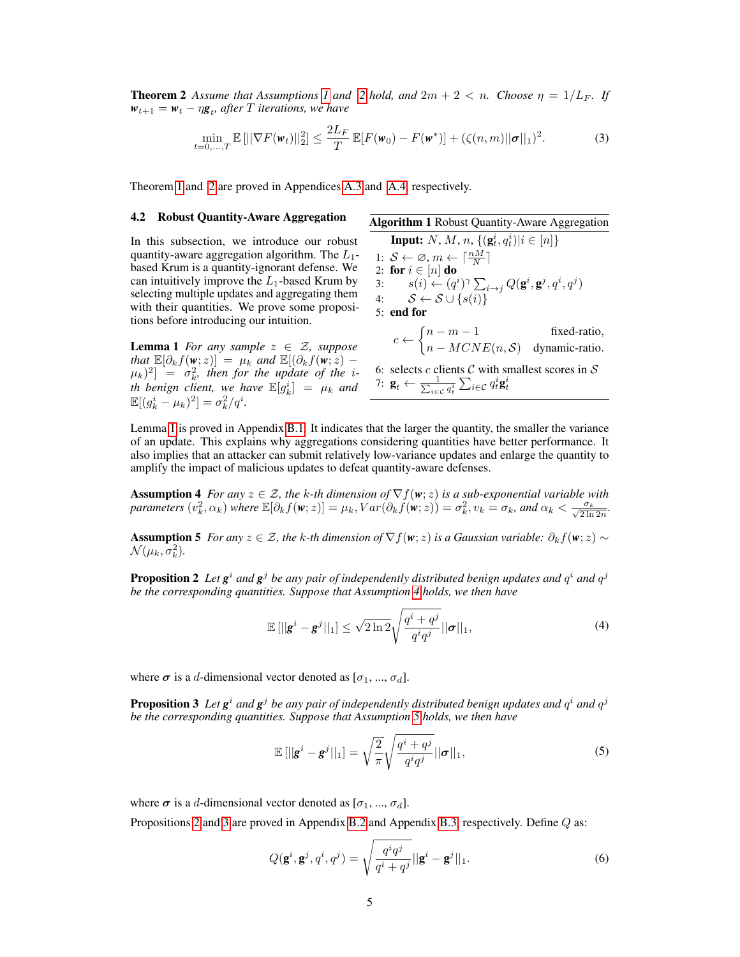**Theorem [2](#page-3-2)** Assume that Assumptions [1](#page-3-0) and 2 hold, and  $2m + 2 < n$ . Choose  $\eta = 1/L_F$ . If  $w_{t+1} = w_t - \eta \mathbf{g}_t$ , after *T* iterations, we have

$$
\min_{t=0,...,T} \mathbb{E} \left[ ||\nabla F(\mathbf{w}_t)||_2^2 \right] \le \frac{2L_F}{T} \mathbb{E} [F(\mathbf{w}_0) - F(\mathbf{w}^*)] + (\zeta(n,m) ||\boldsymbol{\sigma}||_1)^2. \tag{3}
$$

Theorem [1](#page-3-4) and [2](#page-4-0) are proved in Appendices [A.3](#page-13-0) and [A.4,](#page-13-1) respectively.

In this subsection, we introduce our robust quantity-aware aggregation algorithm. The  $L_1$ based Krum is a quantity-ignorant defense. We can intuitively improve the  $L_1$ -based Krum by selecting multiple updates and aggregating them with their quantities. We prove some propositions before introducing our intuition.

<span id="page-4-1"></span>**Lemma 1** *For any sample*  $z \in \mathcal{Z}$ *, suppose that*  $\mathbb{E}[\partial_k f(\mathbf{w}; z)] = \mu_k$  *and*  $\mathbb{E}[(\partial_k f(\mathbf{w}; z) (\mu_k)^2$  =  $\sigma_k^2$ , then for the update of the *ith benign client, we have*  $\mathbb{E}[g_k^i] = \mu_k$  and  $\mathbb{E}[(g_k^i - \mu_k)^2] = \sigma_k^2/q^i.$ 

## 4.2 Robust Quantity-Aware Aggregation **Algorithm 1 Robust Quantity-Aware Aggregation**

<span id="page-4-6"></span><span id="page-4-0"></span>**Input:** N, M, n,  $\{(\mathbf{g}_t^i, q_t^i)|i \in [n]\}$ 1:  $S \leftarrow \emptyset, m \leftarrow \lceil \frac{nM}{N} \rceil$ 2: for  $i \in [n]$  do 3:  $s(i) \leftarrow (q^i)^\gamma \sum_{i \rightarrow j} Q(\mathbf{g}^i, \mathbf{g}^j, q^i, q^j)$ 4:  $S \leftarrow S \cup \{s(i)\}$ 5: end for  $c \leftarrow \begin{cases} n-m-1 & \text{fixed-ratio}, \\ MCNF(\cdot, \mathcal{L}) & \text{otherwise}. \end{cases}$  $n - MCNE(n, S)$  dynamic-ratio. 6: selects c clients  $C$  with smallest scores in  $S$ 

<span id="page-4-4"></span>7:  $\mathbf{g}_t \leftarrow \frac{1}{\sum_{i \in \mathcal{C}} q_t^i} \sum_{i \in \mathcal{C}} q_t^i \mathbf{g}_t^i$ 

Lemma [1](#page-4-1) is proved in Appendix [B.1.](#page-14-0) It indicates that the larger the quantity, the smaller the variance of an update. This explains why aggregations considering quantities have better performance. It also implies that an attacker can submit relatively low-variance updates and enlarge the quantity to amplify the impact of malicious updates to defeat quantity-aware defenses.

<span id="page-4-2"></span>**Assumption 4** *For any*  $z \in \mathcal{Z}$ *, the k-th dimension of*  $\nabla f(\mathbf{w}; z)$  *is a sub-exponential variable with parameters*  $(v_k^2, \alpha_k)$  *where*  $\mathbb{E}[\partial_k f(\mathbf{w}; z)] = \mu_k$ ,  $Var(\partial_k \tilde{f}(\mathbf{w}; z)) = \sigma_k^2$ ,  $v_k = \sigma_k$ , and  $\alpha_k < \frac{\sigma_k}{\sqrt{2 \ln 2n}}$ .

<span id="page-4-3"></span>**Assumption 5** *For any*  $z \in \mathcal{Z}$ *, the k-th dimension of*  $\nabla f(\mathbf{w}; z)$  *is a Gaussian variable:*  $\partial_k f(\mathbf{w}; z) \sim$  $\mathcal{N}(\mu_k, \sigma_k^2)$ .

**Proposition 2** Let  $g^i$  and  $g^j$  be any pair of independently distributed benign updates and  $q^i$  and  $q^j$ *be the corresponding quantities. Suppose that Assumption [4](#page-4-2) holds, we then have*

$$
\mathbb{E}\left[\vert\vert \mathbf{g}^{i} - \mathbf{g}^{j} \vert\vert_{1}\right] \leq \sqrt{2\ln 2} \sqrt{\frac{q^{i} + q^{j}}{q^{i}q^{j}}} \vert\vert \boldsymbol{\sigma} \vert\vert_{1},\tag{4}
$$

where  $\sigma$  is a d-dimensional vector denoted as  $[\sigma_1, ..., \sigma_d]$ .

**Proposition 3** Let  $g^i$  and  $g^j$  be any pair of independently distributed benign updates and  $q^i$  and  $q^j$ *be the corresponding quantities. Suppose that Assumption [5](#page-4-3) holds, we then have*

<span id="page-4-5"></span>
$$
\mathbb{E}\left[\vert\vert \mathbf{g}^i - \mathbf{g}^j \vert\vert_1\right] = \sqrt{\frac{2}{\pi}} \sqrt{\frac{q^i + q^j}{q^i q^j}} \vert\vert \boldsymbol{\sigma} \vert\vert_1,\tag{5}
$$

where  $\sigma$  is a d-dimensional vector denoted as  $[\sigma_1, ..., \sigma_d]$ .

Propositions [2](#page-4-4) and [3](#page-4-5) are proved in Appendix [B.2](#page-14-1) and Appendix [B.3,](#page-14-2) respectively. Define Q as:

$$
Q(\mathbf{g}^i, \mathbf{g}^j, q^i, q^j) = \sqrt{\frac{q^i q^j}{q^i + q^j}} ||\mathbf{g}^i - \mathbf{g}^j||_1.
$$
 (6)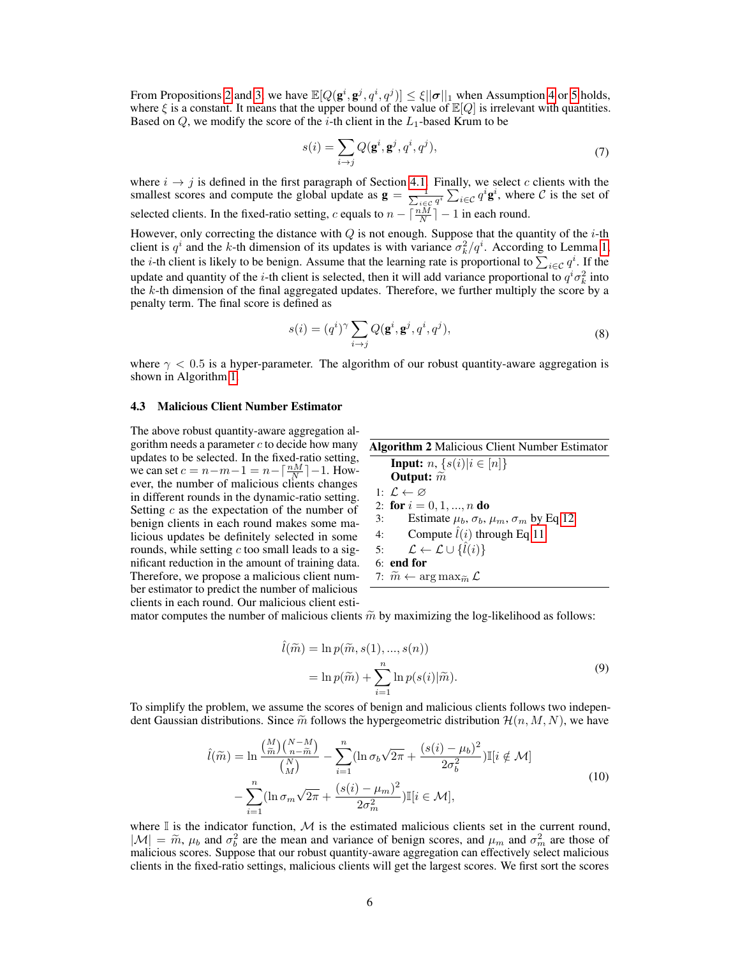From Propositions [2](#page-4-4) and [3,](#page-4-5) we have  $\mathbb{E}[Q(\mathbf{g}^i, \mathbf{g}^j, q^i, q^j)] \leq \xi ||\boldsymbol{\sigma}||_1$  when Assumption [4](#page-4-2) or [5](#page-4-3) holds, where  $\xi$  is a constant. It means that the upper bound of the value of  $\mathbb{E}[Q]$  is irrelevant with quantities. Based on  $Q$ , we modify the score of the *i*-th client in the  $L_1$ -based Krum to be

$$
s(i) = \sum_{i \to j} Q(\mathbf{g}^i, \mathbf{g}^j, q^i, q^j),
$$
\n<sup>(7)</sup>

where  $i \rightarrow j$  is defined in the first paragraph of Section [4.1.](#page-3-5) Finally, we select c clients with the smallest scores and compute the global update as  $\mathbf{g} = \frac{1}{\sum_{i \in \mathcal{C}} q^i} \sum_{i \in \mathcal{C}} q^i \mathbf{g}^i$ , where  $\mathcal{C}$  is the set of selected clients. In the fixed-ratio setting, c equals to  $n - \lceil \frac{nM}{N} \rceil - 1$  in each round.

However, only correcting the distance with  $Q$  is not enough. Suppose that the quantity of the *i*-th client is  $q^i$  and the k-th dimension of its updates is with variance  $\sigma_k^2/q^i$ . According to Lemma [1,](#page-4-1) the *i*-th client is likely to be benign. Assume that the learning rate is proportional to  $\sum_{i \in \mathcal{C}} q^i$ . If the update and quantity of the *i*-th client is selected, then it will add variance proportional to  $q^i \sigma_k^2$  into the  $k$ -th dimension of the final aggregated updates. Therefore, we further multiply the score by a penalty term. The final score is defined as

$$
s(i) = (qi)\gamma \sum_{i \to j} Q(\mathbf{g}i, \mathbf{g}j, qi, qj),
$$
\n(8)

where  $\gamma$  < 0.5 is a hyper-parameter. The algorithm of our robust quantity-aware aggregation is shown in Algorithm [1.](#page-4-6)

#### 4.3 Malicious Client Number Estimator

The above robust quantity-aware aggregation algorithm needs a parameter  $c$  to decide how many updates to be selected. In the fixed-ratio setting, we can set  $c = n - m - 1 = n - \left\lceil \frac{nM}{N} \right\rceil - 1$ . However, the number of malicious clients changes in different rounds in the dynamic-ratio setting. Setting  $c$  as the expectation of the number of benign clients in each round makes some malicious updates be definitely selected in some rounds, while setting  $c$  too small leads to a significant reduction in the amount of training data. Therefore, we propose a malicious client number estimator to predict the number of malicious clients in each round. Our malicious client esti-

<span id="page-5-1"></span>

| <b>Algorithm 2 Malicious Client Number Estimator</b>                |
|---------------------------------------------------------------------|
| <b>Input:</b> $n, \{s(i) i \in [n]\}$                               |
| Output: $\tilde{m}$                                                 |
| 1: $\mathcal{L} \leftarrow \varnothing$                             |
| 2: for $i = 0, 1, , n$ do                                           |
| Estimate $\mu_b$ , $\sigma_b$ , $\mu_m$ , $\sigma_m$ by Eq 12<br>3: |
| 4: Compute $\hat{l}(i)$ through Eq 11                               |
| 5: $\mathcal{L} \leftarrow \mathcal{L} \cup \{\hat{l}(i)\}\$        |
| $6:$ end for                                                        |
| 7: $\widetilde{m} \leftarrow \arg \max_{\widetilde{m}} \mathcal{L}$ |
|                                                                     |

mator computes the number of malicious clients  $\tilde{m}$  by maximizing the log-likelihood as follows:

$$
\hat{l}(\widetilde{m}) = \ln p(\widetilde{m}, s(1), ..., s(n))
$$

$$
= \ln p(\widetilde{m}) + \sum_{i=1}^{n} \ln p(s(i)|\widetilde{m}).
$$
(9)

<span id="page-5-0"></span>To simplify the problem, we assume the scores of benign and malicious clients follows two independent Gaussian distributions. Since  $\tilde{m}$  follows the hypergeometric distribution  $\mathcal{H}(n, M, N)$ , we have

$$
\hat{l}(\widetilde{m}) = \ln \frac{\binom{M}{\widetilde{m}} \binom{N-M}{n-\widetilde{m}}}{\binom{N}{M}} - \sum_{i=1}^{n} (\ln \sigma_b \sqrt{2\pi} + \frac{(s(i) - \mu_b)^2}{2\sigma_b^2}) \mathbb{I}[i \notin \mathcal{M}]
$$
\n
$$
- \sum_{i=1}^{n} (\ln \sigma_m \sqrt{2\pi} + \frac{(s(i) - \mu_m)^2}{2\sigma_m^2}) \mathbb{I}[i \in \mathcal{M}],
$$
\n(10)

where  $\mathbb I$  is the indicator function,  $\mathcal M$  is the estimated malicious clients set in the current round,  $|M| = \tilde{m}$ ,  $\mu_b$  and  $\sigma_b^2$  are the mean and variance of benign scores, and  $\mu_m$  and  $\sigma_m^2$  are those of malicious scores. Suppose that our robust quantity-aware aggregation can effectively select malicious malicious scores. Suppose that our robust quantity-aware aggregation can effectively select malicious clients in the fixed-ratio settings, malicious clients will get the largest scores. We first sort the scores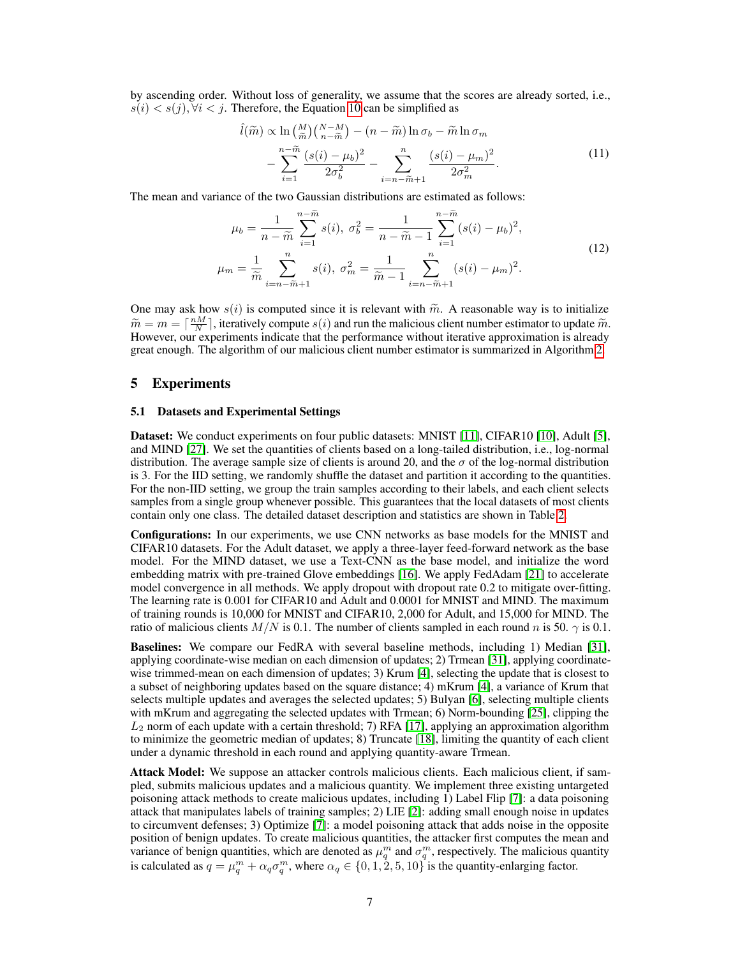by ascending order. Without loss of generality, we assume that the scores are already sorted, i.e.,  $s(i) < s(j)$ ,  $\forall i < j$ . Therefore, the Equation [10](#page-5-0) can be simplified as

<span id="page-6-1"></span><span id="page-6-0"></span>
$$
\hat{l}(\widetilde{m}) \propto \ln\left(\frac{M}{\widetilde{m}}\right) \left(\frac{N-M}{n-\widetilde{m}}\right) - (n-\widetilde{m})\ln\sigma_b - \widetilde{m}\ln\sigma_m
$$

$$
-\sum_{i=1}^{n-\widetilde{m}}\frac{(s(i)-\mu_b)^2}{2\sigma_b^2} - \sum_{i=n-\widetilde{m}+1}^{n}\frac{(s(i)-\mu_m)^2}{2\sigma_m^2}.
$$
(11)

The mean and variance of the two Gaussian distributions are estimated as follows:

$$
\mu_b = \frac{1}{n - \tilde{m}} \sum_{i=1}^{n - \tilde{m}} s(i), \ \sigma_b^2 = \frac{1}{n - \tilde{m} - 1} \sum_{i=1}^{n - \tilde{m}} (s(i) - \mu_b)^2,
$$
\n
$$
\mu_m = \frac{1}{\tilde{m}} \sum_{i=n - \tilde{m} + 1}^{n} s(i), \ \sigma_m^2 = \frac{1}{\tilde{m} - 1} \sum_{i=n - \tilde{m} + 1}^{n} (s(i) - \mu_m)^2.
$$
\n
$$
(12)
$$

One may ask how  $s(i)$  is computed since it is relevant with  $\tilde{m}$ . A reasonable way is to initialize  $\widetilde{m} = m = \left[\frac{nM}{N}\right]$ , iteratively compute  $s(i)$  and run the malicious client number estimator to update  $\widetilde{m}$ .<br>However, our experiments indicate that the performance without iterative approximation is already However, our experiments indicate that the performance without iterative approximation is already great enough. The algorithm of our malicious client number estimator is summarized in Algorithm [2.](#page-5-1)

#### 5 Experiments

#### 5.1 Datasets and Experimental Settings

Dataset: We conduct experiments on four public datasets: MNIST [\[11\]](#page-9-14), CIFAR10 [\[10\]](#page-9-15), Adult [\[5\]](#page-9-16), and MIND [\[27\]](#page-10-12). We set the quantities of clients based on a long-tailed distribution, i.e., log-normal distribution. The average sample size of clients is around 20, and the  $\sigma$  of the log-normal distribution is 3. For the IID setting, we randomly shuffle the dataset and partition it according to the quantities. For the non-IID setting, we group the train samples according to their labels, and each client selects samples from a single group whenever possible. This guarantees that the local datasets of most clients contain only one class. The detailed dataset description and statistics are shown in Table [2.](#page-7-0)

Configurations: In our experiments, we use CNN networks as base models for the MNIST and CIFAR10 datasets. For the Adult dataset, we apply a three-layer feed-forward network as the base model. For the MIND dataset, we use a Text-CNN as the base model, and initialize the word embedding matrix with pre-trained Glove embeddings [\[16\]](#page-9-17). We apply FedAdam [\[21\]](#page-10-9) to accelerate model convergence in all methods. We apply dropout with dropout rate 0.2 to mitigate over-fitting. The learning rate is 0.001 for CIFAR10 and Adult and 0.0001 for MNIST and MIND. The maximum of training rounds is 10,000 for MNIST and CIFAR10, 2,000 for Adult, and 15,000 for MIND. The ratio of malicious clients  $M/N$  is 0.1. The number of clients sampled in each round n is 50.  $\gamma$  is 0.1.

Baselines: We compare our FedRA with several baseline methods, including 1) Median [\[31\]](#page-10-6), applying coordinate-wise median on each dimension of updates; 2) Trmean [\[31\]](#page-10-6), applying coordinatewise trimmed-mean on each dimension of updates; 3) Krum [\[4\]](#page-9-7), selecting the update that is closest to a subset of neighboring updates based on the square distance; 4) mKrum [\[4\]](#page-9-7), a variance of Krum that selects multiple updates and averages the selected updates; 5) Bulyan [\[6\]](#page-9-8), selecting multiple clients with mKrum and aggregating the selected updates with Trmean; 6) Norm-bounding [\[25\]](#page-10-7), clipping the  $L_2$  norm of each update with a certain threshold; 7) RFA [\[17\]](#page-9-9), applying an approximation algorithm to minimize the geometric median of updates; 8) Truncate [\[18\]](#page-9-10), limiting the quantity of each client under a dynamic threshold in each round and applying quantity-aware Trmean.

Attack Model: We suppose an attacker controls malicious clients. Each malicious client, if sampled, submits malicious updates and a malicious quantity. We implement three existing untargeted poisoning attack methods to create malicious updates, including 1) Label Flip [\[7\]](#page-9-5): a data poisoning attack that manipulates labels of training samples; 2) LIE [\[2\]](#page-9-4): adding small enough noise in updates to circumvent defenses; 3) Optimize [\[7\]](#page-9-5): a model poisoning attack that adds noise in the opposite position of benign updates. To create malicious quantities, the attacker first computes the mean and variance of benign quantities, which are denoted as  $\mu_q^m$  and  $\sigma_q^m$ , respectively. The malicious quantity is calculated as  $q = \mu_q^m + \alpha_q \sigma_q^m$ , where  $\alpha_q \in \{0, 1, 2, 5, 10\}$  is the quantity-enlarging factor.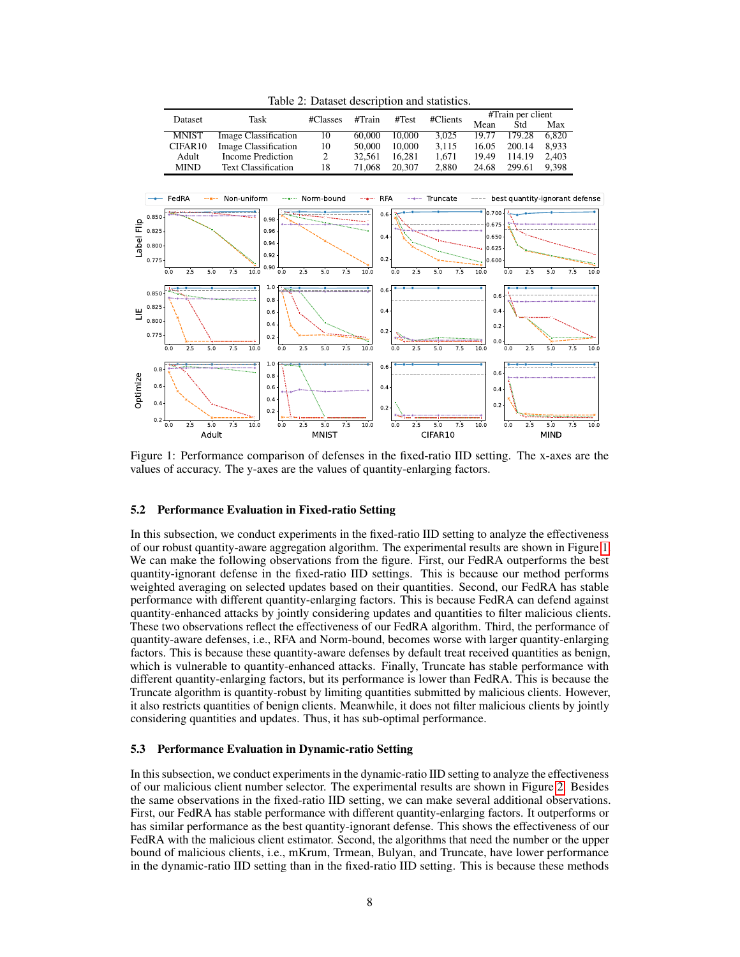<span id="page-7-1"></span><span id="page-7-0"></span>

Table 2: Dataset description and statistics.

Figure 1: Performance comparison of defenses in the fixed-ratio IID setting. The x-axes are the values of accuracy. The y-axes are the values of quantity-enlarging factors.

#### 5.2 Performance Evaluation in Fixed-ratio Setting

In this subsection, we conduct experiments in the fixed-ratio IID setting to analyze the effectiveness of our robust quantity-aware aggregation algorithm. The experimental results are shown in Figure [1.](#page-7-1) We can make the following observations from the figure. First, our FedRA outperforms the best quantity-ignorant defense in the fixed-ratio IID settings. This is because our method performs weighted averaging on selected updates based on their quantities. Second, our FedRA has stable performance with different quantity-enlarging factors. This is because FedRA can defend against quantity-enhanced attacks by jointly considering updates and quantities to filter malicious clients. These two observations reflect the effectiveness of our FedRA algorithm. Third, the performance of quantity-aware defenses, i.e., RFA and Norm-bound, becomes worse with larger quantity-enlarging factors. This is because these quantity-aware defenses by default treat received quantities as benign, which is vulnerable to quantity-enhanced attacks. Finally, Truncate has stable performance with different quantity-enlarging factors, but its performance is lower than FedRA. This is because the Truncate algorithm is quantity-robust by limiting quantities submitted by malicious clients. However, it also restricts quantities of benign clients. Meanwhile, it does not filter malicious clients by jointly considering quantities and updates. Thus, it has sub-optimal performance.

#### <span id="page-7-2"></span>5.3 Performance Evaluation in Dynamic-ratio Setting

In this subsection, we conduct experiments in the dynamic-ratio IID setting to analyze the effectiveness of our malicious client number selector. The experimental results are shown in Figure [2.](#page-8-0) Besides the same observations in the fixed-ratio IID setting, we can make several additional observations. First, our FedRA has stable performance with different quantity-enlarging factors. It outperforms or has similar performance as the best quantity-ignorant defense. This shows the effectiveness of our FedRA with the malicious client estimator. Second, the algorithms that need the number or the upper bound of malicious clients, i.e., mKrum, Trmean, Bulyan, and Truncate, have lower performance in the dynamic-ratio IID setting than in the fixed-ratio IID setting. This is because these methods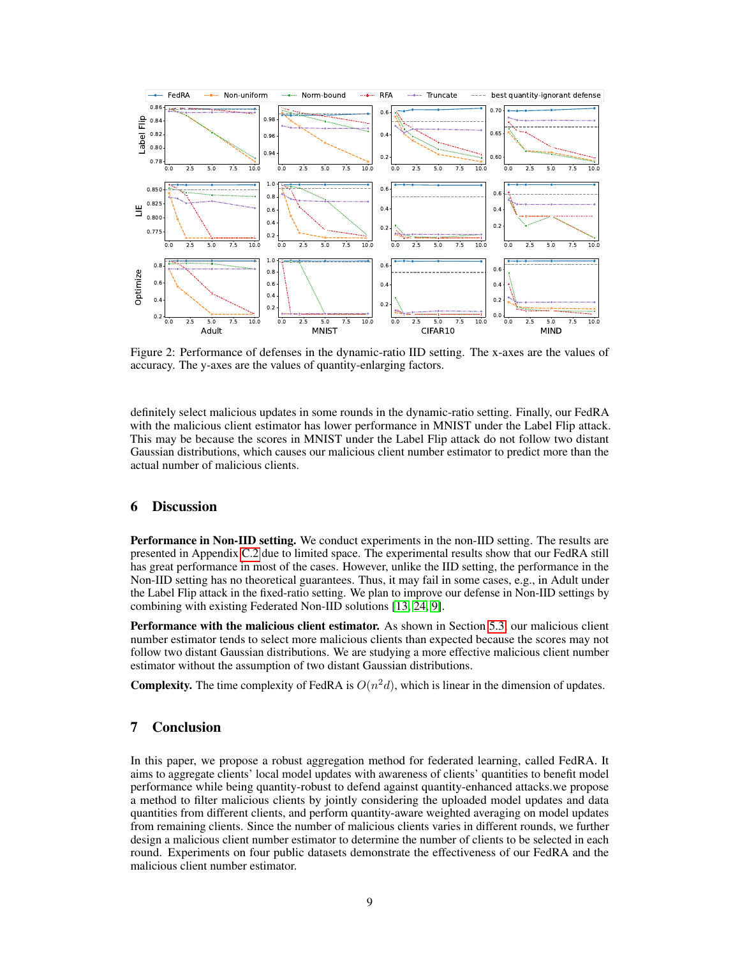<span id="page-8-0"></span>

Figure 2: Performance of defenses in the dynamic-ratio IID setting. The x-axes are the values of accuracy. The y-axes are the values of quantity-enlarging factors.

definitely select malicious updates in some rounds in the dynamic-ratio setting. Finally, our FedRA with the malicious client estimator has lower performance in MNIST under the Label Flip attack. This may be because the scores in MNIST under the Label Flip attack do not follow two distant Gaussian distributions, which causes our malicious client number estimator to predict more than the actual number of malicious clients.

## <span id="page-8-1"></span>6 Discussion

Performance in Non-IID setting. We conduct experiments in the non-IID setting. The results are presented in Appendix [C.2](#page-16-0) due to limited space. The experimental results show that our FedRA still has great performance in most of the cases. However, unlike the IID setting, the performance in the Non-IID setting has no theoretical guarantees. Thus, it may fail in some cases, e.g., in Adult under the Label Flip attack in the fixed-ratio setting. We plan to improve our defense in Non-IID settings by combining with existing Federated Non-IID solutions [\[13,](#page-9-18) [24,](#page-10-13) [9\]](#page-9-19).

**Performance with the malicious client estimator.** As shown in Section [5.3,](#page-7-2) our malicious client number estimator tends to select more malicious clients than expected because the scores may not follow two distant Gaussian distributions. We are studying a more effective malicious client number estimator without the assumption of two distant Gaussian distributions.

**Complexity.** The time complexity of FedRA is  $O(n^2d)$ , which is linear in the dimension of updates.

## 7 Conclusion

In this paper, we propose a robust aggregation method for federated learning, called FedRA. It aims to aggregate clients' local model updates with awareness of clients' quantities to benefit model performance while being quantity-robust to defend against quantity-enhanced attacks.we propose a method to filter malicious clients by jointly considering the uploaded model updates and data quantities from different clients, and perform quantity-aware weighted averaging on model updates from remaining clients. Since the number of malicious clients varies in different rounds, we further design a malicious client number estimator to determine the number of clients to be selected in each round. Experiments on four public datasets demonstrate the effectiveness of our FedRA and the malicious client number estimator.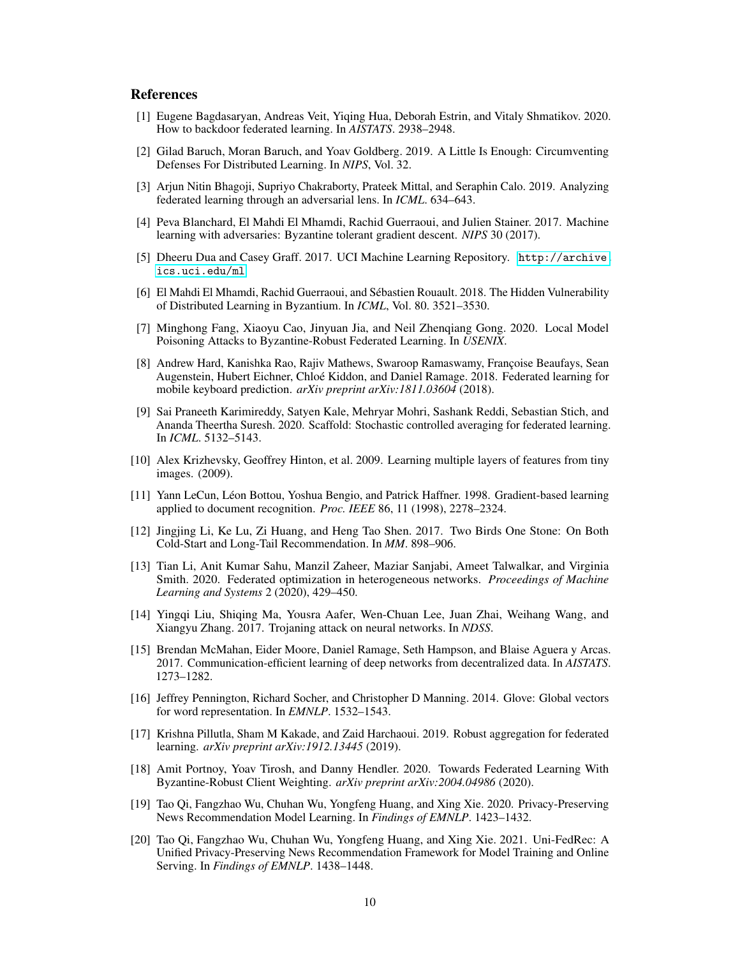## References

- <span id="page-9-12"></span>[1] Eugene Bagdasaryan, Andreas Veit, Yiqing Hua, Deborah Estrin, and Vitaly Shmatikov. 2020. How to backdoor federated learning. In *AISTATS*. 2938–2948.
- <span id="page-9-4"></span>[2] Gilad Baruch, Moran Baruch, and Yoav Goldberg. 2019. A Little Is Enough: Circumventing Defenses For Distributed Learning. In *NIPS*, Vol. 32.
- <span id="page-9-6"></span>[3] Arjun Nitin Bhagoji, Supriyo Chakraborty, Prateek Mittal, and Seraphin Calo. 2019. Analyzing federated learning through an adversarial lens. In *ICML*. 634–643.
- <span id="page-9-7"></span>[4] Peva Blanchard, El Mahdi El Mhamdi, Rachid Guerraoui, and Julien Stainer. 2017. Machine learning with adversaries: Byzantine tolerant gradient descent. *NIPS* 30 (2017).
- <span id="page-9-16"></span>[5] Dheeru Dua and Casey Graff. 2017. UCI Machine Learning Repository. [http://archive.](http://archive.ics.uci.edu/ml) [ics.uci.edu/ml](http://archive.ics.uci.edu/ml)
- <span id="page-9-8"></span>[6] El Mahdi El Mhamdi, Rachid Guerraoui, and Sébastien Rouault. 2018. The Hidden Vulnerability of Distributed Learning in Byzantium. In *ICML*, Vol. 80. 3521–3530.
- <span id="page-9-5"></span>[7] Minghong Fang, Xiaoyu Cao, Jinyuan Jia, and Neil Zhenqiang Gong. 2020. Local Model Poisoning Attacks to Byzantine-Robust Federated Learning. In *USENIX*.
- <span id="page-9-0"></span>[8] Andrew Hard, Kanishka Rao, Rajiv Mathews, Swaroop Ramaswamy, Françoise Beaufays, Sean Augenstein, Hubert Eichner, Chloé Kiddon, and Daniel Ramage. 2018. Federated learning for mobile keyboard prediction. *arXiv preprint arXiv:1811.03604* (2018).
- <span id="page-9-19"></span>[9] Sai Praneeth Karimireddy, Satyen Kale, Mehryar Mohri, Sashank Reddi, Sebastian Stich, and Ananda Theertha Suresh. 2020. Scaffold: Stochastic controlled averaging for federated learning. In *ICML*. 5132–5143.
- <span id="page-9-15"></span>[10] Alex Krizhevsky, Geoffrey Hinton, et al. 2009. Learning multiple layers of features from tiny images. (2009).
- <span id="page-9-14"></span>[11] Yann LeCun, Léon Bottou, Yoshua Bengio, and Patrick Haffner. 1998. Gradient-based learning applied to document recognition. *Proc. IEEE* 86, 11 (1998), 2278–2324.
- <span id="page-9-13"></span>[12] Jingjing Li, Ke Lu, Zi Huang, and Heng Tao Shen. 2017. Two Birds One Stone: On Both Cold-Start and Long-Tail Recommendation. In *MM*. 898–906.
- <span id="page-9-18"></span>[13] Tian Li, Anit Kumar Sahu, Manzil Zaheer, Maziar Sanjabi, Ameet Talwalkar, and Virginia Smith. 2020. Federated optimization in heterogeneous networks. *Proceedings of Machine Learning and Systems* 2 (2020), 429–450.
- <span id="page-9-11"></span>[14] Yingqi Liu, Shiqing Ma, Yousra Aafer, Wen-Chuan Lee, Juan Zhai, Weihang Wang, and Xiangyu Zhang. 2017. Trojaning attack on neural networks. In *NDSS*.
- <span id="page-9-3"></span>[15] Brendan McMahan, Eider Moore, Daniel Ramage, Seth Hampson, and Blaise Aguera y Arcas. 2017. Communication-efficient learning of deep networks from decentralized data. In *AISTATS*. 1273–1282.
- <span id="page-9-17"></span>[16] Jeffrey Pennington, Richard Socher, and Christopher D Manning. 2014. Glove: Global vectors for word representation. In *EMNLP*. 1532–1543.
- <span id="page-9-9"></span>[17] Krishna Pillutla, Sham M Kakade, and Zaid Harchaoui. 2019. Robust aggregation for federated learning. *arXiv preprint arXiv:1912.13445* (2019).
- <span id="page-9-10"></span>[18] Amit Portnoy, Yoav Tirosh, and Danny Hendler. 2020. Towards Federated Learning With Byzantine-Robust Client Weighting. *arXiv preprint arXiv:2004.04986* (2020).
- <span id="page-9-1"></span>[19] Tao Qi, Fangzhao Wu, Chuhan Wu, Yongfeng Huang, and Xing Xie. 2020. Privacy-Preserving News Recommendation Model Learning. In *Findings of EMNLP*. 1423–1432.
- <span id="page-9-2"></span>[20] Tao Qi, Fangzhao Wu, Chuhan Wu, Yongfeng Huang, and Xing Xie. 2021. Uni-FedRec: A Unified Privacy-Preserving News Recommendation Framework for Model Training and Online Serving. In *Findings of EMNLP*. 1438–1448.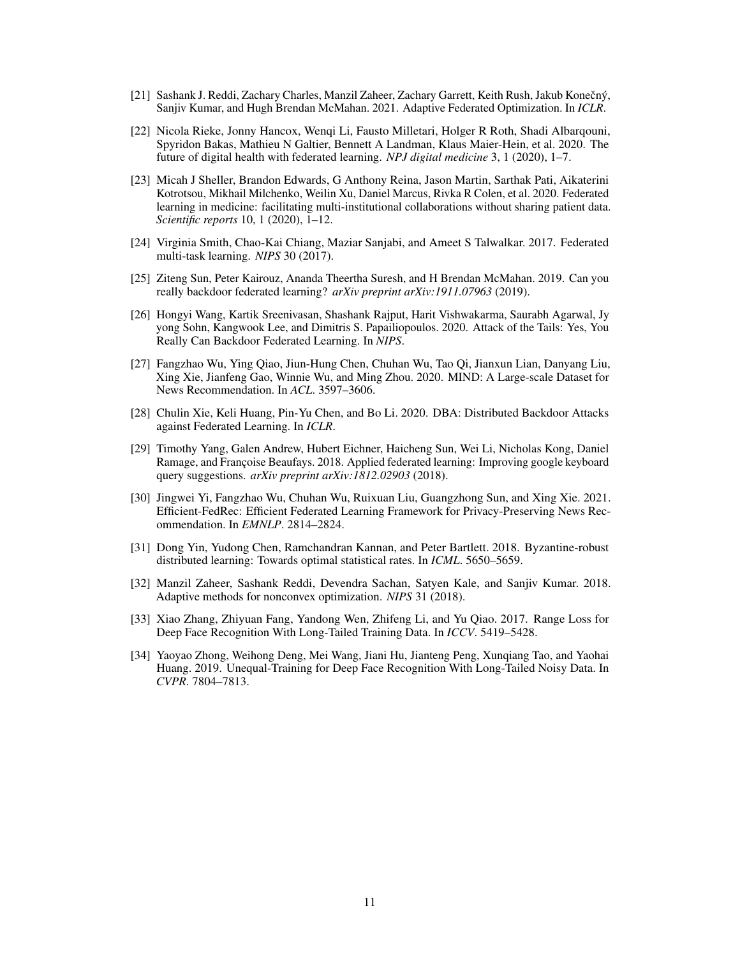- <span id="page-10-9"></span>[21] Sashank J. Reddi, Zachary Charles, Manzil Zaheer, Zachary Garrett, Keith Rush, Jakub Konečný, Sanjiv Kumar, and Hugh Brendan McMahan. 2021. Adaptive Federated Optimization. In *ICLR*.
- <span id="page-10-0"></span>[22] Nicola Rieke, Jonny Hancox, Wenqi Li, Fausto Milletari, Holger R Roth, Shadi Albarqouni, Spyridon Bakas, Mathieu N Galtier, Bennett A Landman, Klaus Maier-Hein, et al. 2020. The future of digital health with federated learning. *NPJ digital medicine* 3, 1 (2020), 1–7.
- <span id="page-10-1"></span>[23] Micah J Sheller, Brandon Edwards, G Anthony Reina, Jason Martin, Sarthak Pati, Aikaterini Kotrotsou, Mikhail Milchenko, Weilin Xu, Daniel Marcus, Rivka R Colen, et al. 2020. Federated learning in medicine: facilitating multi-institutional collaborations without sharing patient data. *Scientific reports* 10, 1 (2020), 1–12.
- <span id="page-10-13"></span>[24] Virginia Smith, Chao-Kai Chiang, Maziar Sanjabi, and Ameet S Talwalkar. 2017. Federated multi-task learning. *NIPS* 30 (2017).
- <span id="page-10-7"></span>[25] Ziteng Sun, Peter Kairouz, Ananda Theertha Suresh, and H Brendan McMahan. 2019. Can you really backdoor federated learning? *arXiv preprint arXiv:1911.07963* (2019).
- <span id="page-10-4"></span>[26] Hongyi Wang, Kartik Sreenivasan, Shashank Rajput, Harit Vishwakarma, Saurabh Agarwal, Jy yong Sohn, Kangwook Lee, and Dimitris S. Papailiopoulos. 2020. Attack of the Tails: Yes, You Really Can Backdoor Federated Learning. In *NIPS*.
- <span id="page-10-12"></span>[27] Fangzhao Wu, Ying Qiao, Jiun-Hung Chen, Chuhan Wu, Tao Qi, Jianxun Lian, Danyang Liu, Xing Xie, Jianfeng Gao, Winnie Wu, and Ming Zhou. 2020. MIND: A Large-scale Dataset for News Recommendation. In *ACL*. 3597–3606.
- <span id="page-10-5"></span>[28] Chulin Xie, Keli Huang, Pin-Yu Chen, and Bo Li. 2020. DBA: Distributed Backdoor Attacks against Federated Learning. In *ICLR*.
- <span id="page-10-2"></span>[29] Timothy Yang, Galen Andrew, Hubert Eichner, Haicheng Sun, Wei Li, Nicholas Kong, Daniel Ramage, and Françoise Beaufays. 2018. Applied federated learning: Improving google keyboard query suggestions. *arXiv preprint arXiv:1812.02903* (2018).
- <span id="page-10-3"></span>[30] Jingwei Yi, Fangzhao Wu, Chuhan Wu, Ruixuan Liu, Guangzhong Sun, and Xing Xie. 2021. Efficient-FedRec: Efficient Federated Learning Framework for Privacy-Preserving News Recommendation. In *EMNLP*. 2814–2824.
- <span id="page-10-6"></span>[31] Dong Yin, Yudong Chen, Ramchandran Kannan, and Peter Bartlett. 2018. Byzantine-robust distributed learning: Towards optimal statistical rates. In *ICML*. 5650–5659.
- <span id="page-10-8"></span>[32] Manzil Zaheer, Sashank Reddi, Devendra Sachan, Satyen Kale, and Sanjiv Kumar. 2018. Adaptive methods for nonconvex optimization. *NIPS* 31 (2018).
- <span id="page-10-10"></span>[33] Xiao Zhang, Zhiyuan Fang, Yandong Wen, Zhifeng Li, and Yu Qiao. 2017. Range Loss for Deep Face Recognition With Long-Tailed Training Data. In *ICCV*. 5419–5428.
- <span id="page-10-11"></span>[34] Yaoyao Zhong, Weihong Deng, Mei Wang, Jiani Hu, Jianteng Peng, Xunqiang Tao, and Yaohai Huang. 2019. Unequal-Training for Deep Face Recognition With Long-Tailed Noisy Data. In *CVPR*. 7804–7813.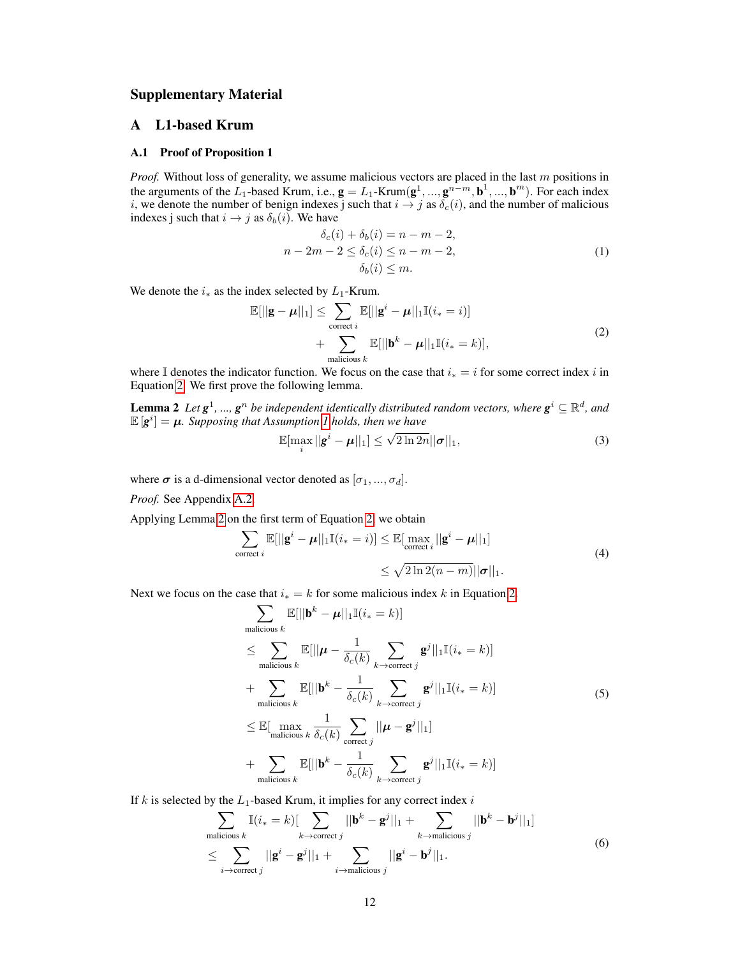## Supplementary Material

## A L1-based Krum

#### <span id="page-11-0"></span>A.1 Proof of Proposition 1

*Proof.* Without loss of generality, we assume malicious vectors are placed in the last m positions in the arguments of the  $L_1$ -based Krum, i.e.,  $\mathbf{g} = L_1$ -Krum $(\mathbf{g}^1, ..., \mathbf{g}^{n-m}, \mathbf{b}^1, ..., \mathbf{b}^m)$ . For each index i, we denote the number of benign indexes j such that  $i \rightarrow j$  as  $\delta_c(i)$ , and the number of malicious indexes j such that  $i \rightarrow j$  as  $\delta_b(i)$ . We have

<span id="page-11-1"></span>
$$
\delta_c(i) + \delta_b(i) = n - m - 2,
$$
  
\n
$$
n - 2m - 2 \le \delta_c(i) \le n - m - 2,
$$
  
\n
$$
\delta_b(i) \le m.
$$
\n(1)

We denote the  $i_*$  as the index selected by  $L_1$ -Krum.

$$
\mathbb{E}[||\mathbf{g} - \boldsymbol{\mu}||_1] \le \sum_{\text{correct } i} \mathbb{E}[||\mathbf{g}^i - \boldsymbol{\mu}||_1 \mathbb{I}(i_* = i)] + \sum_{\text{maticious } k} \mathbb{E}[||\mathbf{b}^k - \boldsymbol{\mu}||_1 \mathbb{I}(i_* = k)],
$$
\n(2)

where I denotes the indicator function. We focus on the case that  $i_* = i$  for some correct index i in Equation [2.](#page-11-1) We first prove the following lemma.

**Lemma 2** Let  $g^1$ , ...,  $g^n$  be independent identically distributed random vectors, where  $g^i \subseteq \mathbb{R}^d$ , and  $\mathbb{E}[\mathbf{g}^i] = \boldsymbol{\mu}$ . Supposing that Assumption [1](#page-3-0) holds, then we have

<span id="page-11-2"></span>
$$
\mathbb{E}[\max_{i} ||\mathbf{g}^{i} - \boldsymbol{\mu}||_{1}] \leq \sqrt{2 \ln 2n} ||\boldsymbol{\sigma}||_{1},
$$
\n(3)

where  $\sigma$  is a d-dimensional vector denoted as  $[\sigma_1, ..., \sigma_d]$ .

*Proof.* See Appendix [A.2.](#page-12-0)

Applying Lemma [2](#page-11-2) on the first term of Equation [2,](#page-11-1) we obtain

$$
\sum_{\text{correct }i} \mathbb{E}[||\mathbf{g}^i - \boldsymbol{\mu}||_1 \mathbb{I}(i_*) = i] \leq \mathbb{E}[\max_{\text{correct }i} ||\mathbf{g}^i - \boldsymbol{\mu}||_1]
$$
\n
$$
\leq \sqrt{2\ln 2(n-m)} ||\boldsymbol{\sigma}||_1.
$$
\n(4)

Next we focus on the case that  $i_* = k$  for some malicious index k in Equation [2.](#page-11-1)

<span id="page-11-3"></span>
$$
\sum_{\text{malicious }k} \mathbb{E}[||\mathbf{b}^{k} - \boldsymbol{\mu}||_{1}\mathbb{I}(i_{*} = k)]
$$
\n
$$
\leq \sum_{\text{malicious }k} \mathbb{E}[||\boldsymbol{\mu} - \frac{1}{\delta_{c}(k)} \sum_{k \to \text{correct }j} \mathbf{g}^{j}||_{1}\mathbb{I}(i_{*} = k)]
$$
\n
$$
+ \sum_{\text{malicious }k} \mathbb{E}[||\mathbf{b}^{k} - \frac{1}{\delta_{c}(k)} \sum_{k \to \text{correct }j} \mathbf{g}^{j}||_{1}\mathbb{I}(i_{*} = k)]
$$
\n
$$
\leq \mathbb{E}[\max_{\text{malicious }k} \frac{1}{\delta_{c}(k)} \sum_{\text{correct }j} ||\boldsymbol{\mu} - \mathbf{g}^{j}||_{1}]
$$
\n
$$
+ \sum_{\text{malicious }k} \mathbb{E}[||\mathbf{b}^{k} - \frac{1}{\delta_{c}(k)} \sum_{k \to \text{correct }j} \mathbf{g}^{j}||_{1}\mathbb{I}(i_{*} = k)]
$$
\n(5)

If k is selected by the  $L_1$ -based Krum, it implies for any correct index i

$$
\sum_{\text{malicious }k} \mathbb{I}(i_{*} = k) [\sum_{k \to \text{correct }j} ||\mathbf{b}^{k} - \mathbf{g}^{j}||_{1} + \sum_{k \to \text{malicious }j} ||\mathbf{b}^{k} - \mathbf{b}^{j}||_{1}]
$$
  
\n
$$
\leq \sum_{i \to \text{correct }j} ||\mathbf{g}^{i} - \mathbf{g}^{j}||_{1} + \sum_{i \to \text{malicious }j} ||\mathbf{g}^{i} - \mathbf{b}^{j}||_{1}.
$$
 (6)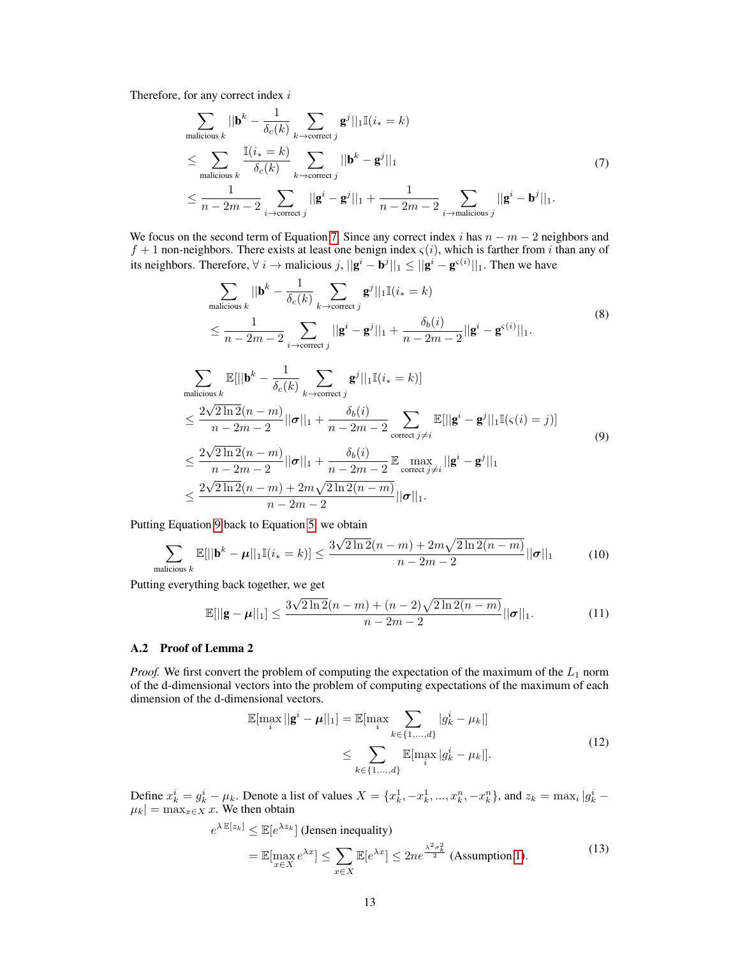Therefore, for any correct index i

<span id="page-12-1"></span>
$$
\sum_{\text{malicious }k} ||\mathbf{b}^{k} - \frac{1}{\delta_{c}(k)} \sum_{k \to \text{correct } j} \mathbf{g}^{j}||_{1} \mathbb{I}(i_{*} = k)
$$
\n
$$
\leq \sum_{\text{malicious }k} \frac{\mathbb{I}(i_{*} = k)}{\delta_{c}(k)} \sum_{k \to \text{correct } j} ||\mathbf{b}^{k} - \mathbf{g}^{j}||_{1}
$$
\n
$$
\leq \frac{1}{n - 2m - 2} \sum_{i \to \text{correct } j} ||\mathbf{g}^{i} - \mathbf{g}^{j}||_{1} + \frac{1}{n - 2m - 2} \sum_{i \to \text{malicious } j} ||\mathbf{g}^{i} - \mathbf{b}^{j}||_{1}.
$$
\n(7)

We focus on the second term of Equation [7.](#page-12-1) Since any correct index i has  $n - m - 2$  neighbors and  $f + 1$  non-neighbors. There exists at least one benign index  $\varsigma(i)$ , which is farther from i than any of its neighbors. Therefore,  $\forall i \to$  malicious  $j$ ,  $||\mathbf{g}^i - \mathbf{b}^j||_1 \le ||\mathbf{g}^i - \mathbf{g}^{\varsigma(i)}||_1$ . Then we have

<span id="page-12-2"></span>
$$
\sum_{\text{malicious }k} ||\mathbf{b}^{k} - \frac{1}{\delta_{c}(k)} \sum_{k \to \text{correct }j} \mathbf{g}^{j}||_{1}\mathbb{I}(i_{*} = k)
$$
\n
$$
\leq \frac{1}{n - 2m - 2} \sum_{i \to \text{correct }j} ||\mathbf{g}^{i} - \mathbf{g}^{j}||_{1} + \frac{\delta_{b}(i)}{n - 2m - 2} ||\mathbf{g}^{i} - \mathbf{g}^{(i)}||_{1}.
$$
\n
$$
\sum_{\text{malicious }k} \mathbb{E}[||\mathbf{b}^{k} - \frac{1}{\delta_{c}(k)} \sum_{k \to \text{correct }j} \mathbf{g}^{j}||_{1}\mathbb{I}(i_{*} = k)]
$$
\n
$$
\leq \frac{2\sqrt{2\ln 2}(n - m)}{n - 2m - 2} ||\boldsymbol{\sigma}||_{1} + \frac{\delta_{b}(i)}{n - 2m - 2} \sum_{\text{correct }j \neq i} \mathbb{E}[||\mathbf{g}^{i} - \mathbf{g}^{j}||_{1}\mathbb{I}(\varsigma(i) = j)]
$$
\n
$$
\leq \frac{2\sqrt{2\ln 2}(n - m)}{n - 2m - 2} ||\boldsymbol{\sigma}||_{1} + \frac{\delta_{b}(i)}{n - 2m - 2} \mathbb{E} \max_{\text{correct }j \neq i} ||\mathbf{g}^{i} - \mathbf{g}^{j}||_{1}
$$
\n
$$
\leq \frac{2\sqrt{2\ln 2}(n - m) + 2m\sqrt{2\ln 2(n - m)}}{n - 2m - 2} ||\boldsymbol{\sigma}||_{1}.
$$
\n(9)

Putting Equation [9](#page-12-2) back to Equation [5,](#page-11-3) we obtain

 $n-2m-2$ 

$$
\sum_{\text{malicious }k} \mathbb{E}[||\mathbf{b}^k - \boldsymbol{\mu}||_1 \mathbb{I}(i_*) = k] \le \frac{3\sqrt{2\ln 2}(n-m) + 2m\sqrt{2\ln 2(n-m)}}{n-2m-2} ||\boldsymbol{\sigma}||_1 \tag{10}
$$

Putting everything back together, we get

$$
\mathbb{E}[\|\mathbf{g} - \boldsymbol{\mu}\|_1] \le \frac{3\sqrt{2\ln 2}(n-m) + (n-2)\sqrt{2\ln 2(n-m)}}{n-2m-2} ||\boldsymbol{\sigma}||_1.
$$
 (11)

#### <span id="page-12-0"></span>A.2 Proof of Lemma 2

*Proof.* We first convert the problem of computing the expectation of the maximum of the  $L_1$  norm of the d-dimensional vectors into the problem of computing expectations of the maximum of each dimension of the d-dimensional vectors.

<span id="page-12-3"></span>
$$
\mathbb{E}[\max_{i} ||\mathbf{g}^{i} - \boldsymbol{\mu}||_{1}] = \mathbb{E}[\max_{i} \sum_{k \in \{1, ..., d\}} |g_{k}^{i} - \mu_{k}||
$$
\n
$$
\leq \sum_{k \in \{1, ..., d\}} \mathbb{E}[\max_{i} |g_{k}^{i} - \mu_{k}]].
$$
\n(12)

Define  $x_k^i = g_k^i - \mu_k$ . Denote a list of values  $X = \{x_k^1, -x_k^1, ..., x_k^n, -x_k^n\}$ , and  $z_k = \max_i |g_k^i |\mu_k| = \max_{x \in X} x$ . We then obtain

$$
e^{\lambda \mathbb{E}[z_k]} \le \mathbb{E}[e^{\lambda z_k}] \text{ (Jensen inequality)}
$$
  
=  $\mathbb{E}[\max_{x \in X} e^{\lambda x}] \le \sum_{x \in X} \mathbb{E}[e^{\lambda x}] \le 2n e^{\frac{\lambda^2 \sigma_k^2}{2}}$  (Assumption 1). (13)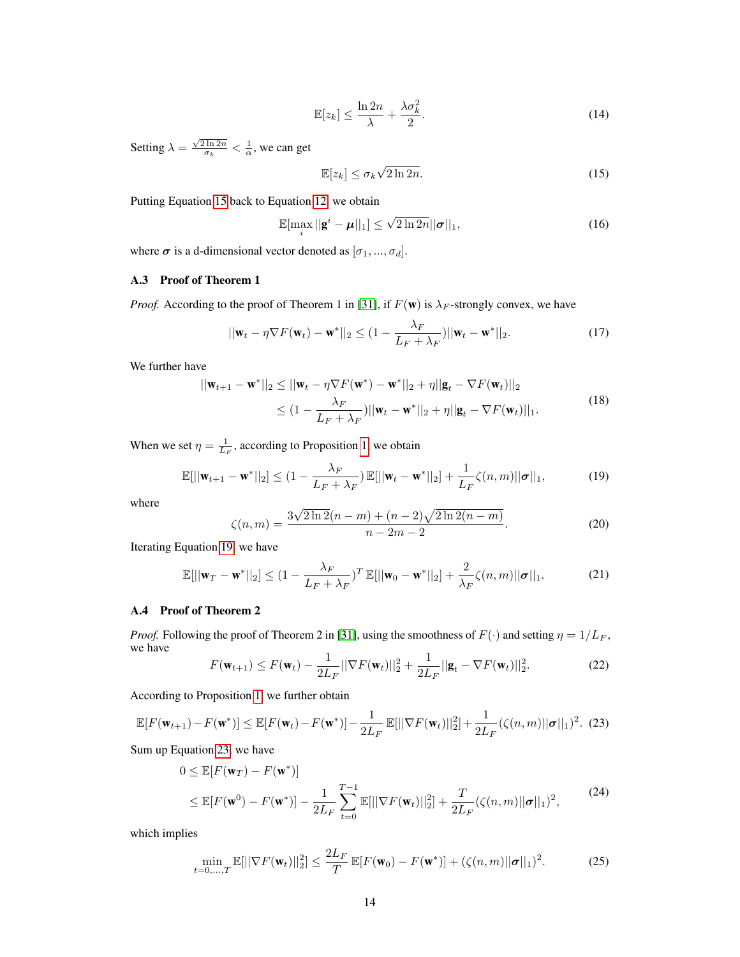$$
\mathbb{E}[z_k] \le \frac{\ln 2n}{\lambda} + \frac{\lambda \sigma_k^2}{2}.\tag{14}
$$

Setting  $\lambda = \frac{\sqrt{2 \ln 2n}}{\sigma_k} < \frac{1}{\alpha}$ , we can get

<span id="page-13-2"></span>
$$
\mathbb{E}[z_k] \le \sigma_k \sqrt{2 \ln 2n}.\tag{15}
$$

Putting Equation [15](#page-13-2) back to Equation [12,](#page-12-3) we obtain

$$
\mathbb{E}[\max_{i} ||\mathbf{g}^{i} - \boldsymbol{\mu}||_{1}] \leq \sqrt{2 \ln 2n} ||\boldsymbol{\sigma}||_{1},
$$
\n(16)

where  $\sigma$  is a d-dimensional vector denoted as  $[\sigma_1, ..., \sigma_d]$ .

## <span id="page-13-0"></span>A.3 Proof of Theorem 1

*Proof.* According to the proof of Theorem 1 in [\[31\]](#page-10-6), if  $F(\mathbf{w})$  is  $\lambda_F$ -strongly convex, we have

$$
||\mathbf{w}_t - \eta \nabla F(\mathbf{w}_t) - \mathbf{w}^*||_2 \leq (1 - \frac{\lambda_F}{L_F + \lambda_F}) ||\mathbf{w}_t - \mathbf{w}^*||_2.
$$
 (17)

We further have

$$
||\mathbf{w}_{t+1} - \mathbf{w}^*||_2 \le ||\mathbf{w}_t - \eta \nabla F(\mathbf{w}^*) - \mathbf{w}^*||_2 + \eta ||\mathbf{g}_t - \nabla F(\mathbf{w}_t)||_2
$$
  
\n
$$
\leq (1 - \frac{\lambda_F}{L_F + \lambda_F}) ||\mathbf{w}_t - \mathbf{w}^*||_2 + \eta ||\mathbf{g}_t - \nabla F(\mathbf{w}_t)||_1.
$$
\n(18)

When we set  $\eta = \frac{1}{L_F}$ , according to Proposition [1,](#page-3-1) we obtain

$$
\mathbb{E}[\|\mathbf{w}_{t+1} - \mathbf{w}^*\|_2] \leq (1 - \frac{\lambda_F}{L_F + \lambda_F}) \mathbb{E}[\|\mathbf{w}_t - \mathbf{w}^*\|_2] + \frac{1}{L_F} \zeta(n, m) ||\boldsymbol{\sigma}||_1,
$$
(19)

where

<span id="page-13-3"></span>
$$
\zeta(n,m) = \frac{3\sqrt{2\ln 2}(n-m) + (n-2)\sqrt{2\ln 2(n-m)}}{n-2m-2}.
$$
\n(20)

Iterating Equation [19,](#page-13-3) we have

$$
\mathbb{E}[||\mathbf{w}_T - \mathbf{w}^*||_2] \leq (1 - \frac{\lambda_F}{L_F + \lambda_F})^T \mathbb{E}[||\mathbf{w}_0 - \mathbf{w}^*||_2] + \frac{2}{\lambda_F} \zeta(n, m) ||\boldsymbol{\sigma}||_1.
$$
 (21)

#### <span id="page-13-1"></span>A.4 Proof of Theorem 2

*Proof.* Following the proof of Theorem 2 in [\[31\]](#page-10-6), using the smoothness of  $F(\cdot)$  and setting  $\eta = 1/L_F$ , we have

<span id="page-13-4"></span>
$$
F(\mathbf{w}_{t+1}) \le F(\mathbf{w}_t) - \frac{1}{2L_F} ||\nabla F(\mathbf{w}_t)||_2^2 + \frac{1}{2L_F} ||\mathbf{g}_t - \nabla F(\mathbf{w}_t)||_2^2.
$$
 (22)

According to Proposition [1,](#page-3-1) we further obtain

$$
\mathbb{E}[F(\mathbf{w}_{t+1}) - F(\mathbf{w}^*)] \le \mathbb{E}[F(\mathbf{w}_t) - F(\mathbf{w}^*)] - \frac{1}{2L_F} \mathbb{E}[||\nabla F(\mathbf{w}_t)||_2^2] + \frac{1}{2L_F} (\zeta(n, m) ||\boldsymbol{\sigma}||_1)^2.
$$
 (23)

Sum up Equation [23,](#page-13-4) we have

$$
0 \leq \mathbb{E}[F(\mathbf{w}_T) - F(\mathbf{w}^*)]
$$
  
\n
$$
\leq \mathbb{E}[F(\mathbf{w}^0) - F(\mathbf{w}^*)] - \frac{1}{2L_F} \sum_{t=0}^{T-1} \mathbb{E}[||\nabla F(\mathbf{w}_t)||_2^2] + \frac{T}{2L_F} (\zeta(n, m) ||\boldsymbol{\sigma}||_1)^2,
$$
\n(24)

which implies

$$
\min_{t=0,\dots,T} \mathbb{E}[||\nabla F(\mathbf{w}_t)||_2^2] \le \frac{2L_F}{T} \mathbb{E}[F(\mathbf{w}_0) - F(\mathbf{w}^*)] + (\zeta(n,m)||\boldsymbol{\sigma}||_1)^2. \tag{25}
$$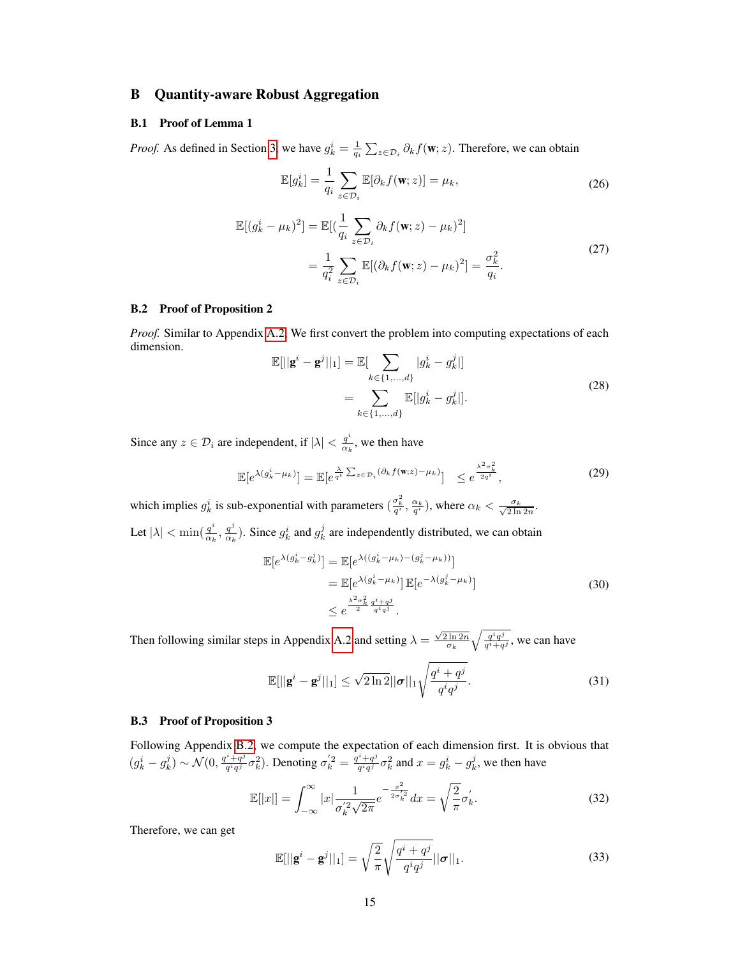## B Quantity-aware Robust Aggregation

#### <span id="page-14-0"></span>B.1 Proof of Lemma 1

*Proof.* As defined in Section [3,](#page-2-1) we have  $g_k^i = \frac{1}{q_i} \sum_{z \in \mathcal{D}_i} \partial_k f(\mathbf{w}; z)$ . Therefore, we can obtain

$$
\mathbb{E}[g_k^i] = \frac{1}{q_i} \sum_{z \in \mathcal{D}_i} \mathbb{E}[\partial_k f(\mathbf{w}; z)] = \mu_k,
$$
\n(26)

$$
\mathbb{E}[(g_k^i - \mu_k)^2] = \mathbb{E}[(\frac{1}{q_i} \sum_{z \in \mathcal{D}_i} \partial_k f(\mathbf{w}; z) - \mu_k)^2]
$$
  
= 
$$
\frac{1}{q_i^2} \sum_{z \in \mathcal{D}_i} \mathbb{E}[(\partial_k f(\mathbf{w}; z) - \mu_k)^2] = \frac{\sigma_k^2}{q_i}.
$$
 (27)

#### <span id="page-14-1"></span>B.2 Proof of Proposition 2

*Proof.* Similar to Appendix [A.2,](#page-12-0) We first convert the problem into computing expectations of each dimension.

$$
\mathbb{E}[||\mathbf{g}^{i} - \mathbf{g}^{j}||_{1}] = \mathbb{E}[\sum_{k \in \{1, ..., d\}} |g_{k}^{i} - g_{k}^{j}|] \n= \sum_{k \in \{1, ..., d\}} \mathbb{E}[|g_{k}^{i} - g_{k}^{j}|].
$$
\n(28)

Since any  $z \in \mathcal{D}_i$  are independent, if  $|\lambda| < \frac{q^i}{\alpha}$  $\frac{q}{\alpha_k}$ , we then have

$$
\mathbb{E}[e^{\lambda(g_k^i - \mu_k)}] = \mathbb{E}[e^{\frac{\lambda}{q^i} \sum_{z \in \mathcal{D}_i} (\partial_k f(\mathbf{w}; z) - \mu_k)}] \le e^{\frac{\lambda^2 \sigma_k^2}{2q^i}}, \tag{29}
$$

which implies  $g_k^i$  is sub-exponential with parameters  $(\frac{\sigma_k^2}{q^i}, \frac{\alpha_k}{q^i})$ , where  $\alpha_k < \frac{\sigma_k}{\sqrt{2 \ln 2n}}$ .

Let  $|\lambda| < \min(\frac{q^i}{\alpha_i})$  $\frac{q^i}{\alpha_k}, \frac{q^j}{\alpha_k}$  $\frac{q^j}{\alpha_k}$ ). Since  $g_k^i$  and  $g_k^j$  are independently distributed, we can obtain

$$
\mathbb{E}[e^{\lambda(g_k^i - g_k^j)}] = \mathbb{E}[e^{\lambda((g_k^i - \mu_k) - (g_k^j - \mu_k))}]
$$
  
\n
$$
= \mathbb{E}[e^{\lambda(g_k^i - \mu_k)}] \mathbb{E}[e^{-\lambda(g_k^j - \mu_k)}]
$$
  
\n
$$
\leq e^{\frac{\lambda^2 \sigma_k^2}{2} \frac{g^i + q^j}{q^i q^j}}.
$$
\n(30)

Then following similar steps in Appendix [A.2](#page-12-0) and setting  $\lambda = \frac{\sqrt{2 \ln 2n}}{\sigma_k} \sqrt{\frac{q^i q^j}{q^i + q}}$  $\frac{q^i q^j}{q^i+q^j}$ , we can have

$$
\mathbb{E}[||\mathbf{g}^{i} - \mathbf{g}^{j}||_{1}] \leq \sqrt{2 \ln 2} ||\boldsymbol{\sigma}||_{1} \sqrt{\frac{q^{i} + q^{j}}{q^{i}q^{j}}}.
$$
\n(31)

#### <span id="page-14-2"></span>B.3 Proof of Proposition 3

Following Appendix [B.2,](#page-14-1) we compute the expectation of each dimension first. It is obvious that  $(g_k^i - g_k^j) \sim \mathcal{N}(0, \frac{q^i + q^j}{q^i q^j})$  $(\frac{q^i+q^j}{q^iq^j}\sigma_k^2)$ . Denoting  $\sigma_k^{'2} = \frac{q^i+q^j}{q^iq^j}$  $g_{q^i q^j}^{i+q^j} \sigma_k^2$  and  $x = g_k^i - g_k^j$ , we then have

$$
\mathbb{E}[|x|] = \int_{-\infty}^{\infty} |x| \frac{1}{\sigma_k'^2 \sqrt{2\pi}} e^{-\frac{x^2}{2\sigma_k'^2}} dx = \sqrt{\frac{2}{\pi}} \sigma_k'.
$$
 (32)

Therefore, we can get

$$
\mathbb{E}[\|\mathbf{g}^i - \mathbf{g}^j\|_1] = \sqrt{\frac{2}{\pi}} \sqrt{\frac{q^i + q^j}{q^i q^j}} ||\boldsymbol{\sigma}||_1.
$$
\n(33)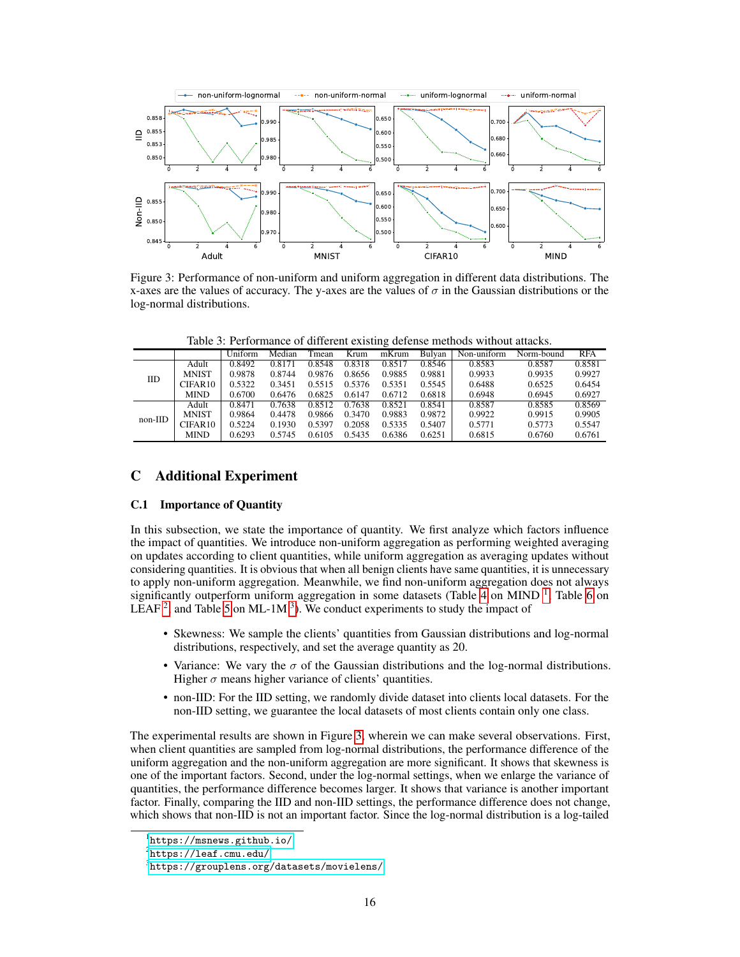<span id="page-15-4"></span>

Figure 3: Performance of non-uniform and uniform aggregation in different data distributions. The x-axes are the values of accuracy. The y-axes are the values of  $\sigma$  in the Gaussian distributions or the log-normal distributions.

Table 3: Performance of different existing defense methods without attacks.

<span id="page-15-5"></span>

|           |                     | Uniform | Median | Tmean  | Krum   | ÷<br>mKrum | Bulvan | Non-uniform | Norm-bound | <b>RFA</b> |
|-----------|---------------------|---------|--------|--------|--------|------------|--------|-------------|------------|------------|
| IID       | Adult               | 0.8492  | 0.8171 | 0.8548 | 0.8318 | 0.8517     | 0.8546 | 0.8583      | 0.8587     | 0.8581     |
|           | <b>MNIST</b>        | 0.9878  | 0.8744 | 0.9876 | 0.8656 | 0.9885     | 0.9881 | 0.9933      | 0.9935     | 0.9927     |
|           | CIFAR <sub>10</sub> | 0.5322  | 0.3451 | 0.5515 | 0.5376 | 0.5351     | 0.5545 | 0.6488      | 0.6525     | 0.6454     |
|           | <b>MIND</b>         | 0.6700  | 0.6476 | 0.6825 | 0.6147 | 0.6712     | 0.6818 | 0.6948      | 0.6945     | 0.6927     |
| $non-IID$ | Adult               | 0.8471  | 0.7638 | 0.8512 | 0.7638 | 0.8521     | 0.8541 | 0.8587      | 0.8585     | 0.8569     |
|           | <b>MNIST</b>        | 0.9864  | 0.4478 | 0.9866 | 0.3470 | 0.9883     | 0.9872 | 0.9922      | 0.9915     | 0.9905     |
|           | CIFAR10             | 0.5224  | 0.1930 | 0.5397 | 0.2058 | 0.5335     | 0.5407 | 0.5771      | 0.5773     | 0.5547     |
|           | <b>MIND</b>         | 0.6293  | 0.5745 | 0.6105 | 0.5435 | 0.6386     | 0.6251 | 0.6815      | 0.6760     | 0.6761     |

## C Additional Experiment

## <span id="page-15-0"></span>C.1 Importance of Quantity

In this subsection, we state the importance of quantity. We first analyze which factors influence the impact of quantities. We introduce non-uniform aggregation as performing weighted averaging on updates according to client quantities, while uniform aggregation as averaging updates without considering quantities. It is obvious that when all benign clients have same quantities, it is unnecessary to apply non-uniform aggregation. Meanwhile, we find non-uniform aggregation does not always significantly outperform uniform aggregation in some datasets (Table [4](#page-16-1) on MIND<sup>[1](#page-15-1)</sup>, Table [6](#page-16-2) on LEAF<sup>[2](#page-15-2)</sup>, and Table [5](#page-16-3) on ML-1M<sup>[3](#page-15-3)</sup>). We conduct experiments to study the impact of

- Skewness: We sample the clients' quantities from Gaussian distributions and log-normal distributions, respectively, and set the average quantity as 20.
- Variance: We vary the  $\sigma$  of the Gaussian distributions and the log-normal distributions. Higher  $\sigma$  means higher variance of clients' quantities.
- non-IID: For the IID setting, we randomly divide dataset into clients local datasets. For the non-IID setting, we guarantee the local datasets of most clients contain only one class.

The experimental results are shown in Figure [3,](#page-15-4) wherein we can make several observations. First, when client quantities are sampled from log-normal distributions, the performance difference of the uniform aggregation and the non-uniform aggregation are more significant. It shows that skewness is one of the important factors. Second, under the log-normal settings, when we enlarge the variance of quantities, the performance difference becomes larger. It shows that variance is another important factor. Finally, comparing the IID and non-IID settings, the performance difference does not change, which shows that non-IID is not an important factor. Since the log-normal distribution is a log-tailed

<span id="page-15-1"></span><sup>1</sup> <https://msnews.github.io/>

<span id="page-15-2"></span> $^{2}$ <https://leaf.cmu.edu/>

<span id="page-15-3"></span> $^3$ <https://grouplens.org/datasets/movielens/>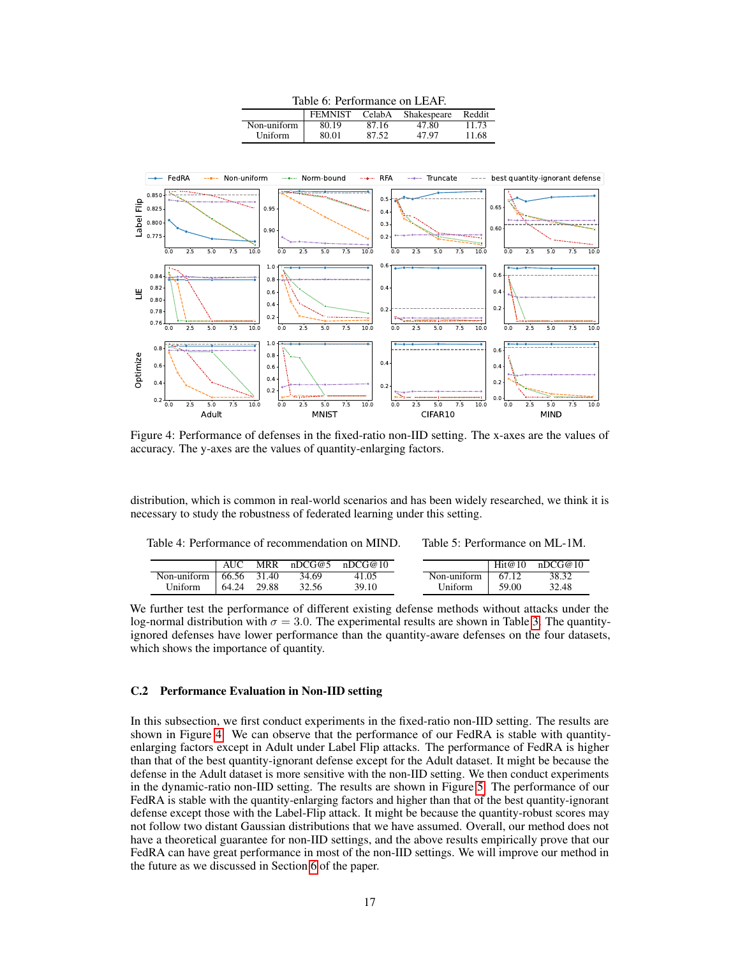

<span id="page-16-4"></span><span id="page-16-2"></span>

Figure 4: Performance of defenses in the fixed-ratio non-IID setting. The x-axes are the values of accuracy. The y-axes are the values of quantity-enlarging factors.

distribution, which is common in real-world scenarios and has been widely researched, we think it is necessary to study the robustness of federated learning under this setting.

<span id="page-16-1"></span>Table 4: Performance of recommendation on MIND.

<span id="page-16-3"></span>Table 5: Performance on ML-1M.

|             |       | MRR   | nDCG@5 | nDCG@10 |             | Hit@10 | nDCG@10 |
|-------------|-------|-------|--------|---------|-------------|--------|---------|
| Non-uniform | 66.56 | 31.40 | 34.69  | 41.05   | Non-uniform | 67.12  | 38.32   |
| Uniform     | 64.24 | 29.88 | 32.56  | 39.10   | Uniform     | 59.00  | 32.48   |

We further test the performance of different existing defense methods without attacks under the log-normal distribution with  $\sigma = 3.0$  $\sigma = 3.0$  $\sigma = 3.0$ . The experimental results are shown in Table 3. The quantityignored defenses have lower performance than the quantity-aware defenses on the four datasets, which shows the importance of quantity.

#### <span id="page-16-0"></span>C.2 Performance Evaluation in Non-IID setting

In this subsection, we first conduct experiments in the fixed-ratio non-IID setting. The results are shown in Figure [4.](#page-16-4) We can observe that the performance of our FedRA is stable with quantityenlarging factors except in Adult under Label Flip attacks. The performance of FedRA is higher than that of the best quantity-ignorant defense except for the Adult dataset. It might be because the defense in the Adult dataset is more sensitive with the non-IID setting. We then conduct experiments in the dynamic-ratio non-IID setting. The results are shown in Figure [5.](#page-17-1) The performance of our FedRA is stable with the quantity-enlarging factors and higher than that of the best quantity-ignorant defense except those with the Label-Flip attack. It might be because the quantity-robust scores may not follow two distant Gaussian distributions that we have assumed. Overall, our method does not have a theoretical guarantee for non-IID settings, and the above results empirically prove that our FedRA can have great performance in most of the non-IID settings. We will improve our method in the future as we discussed in Section [6](#page-8-1) of the paper.